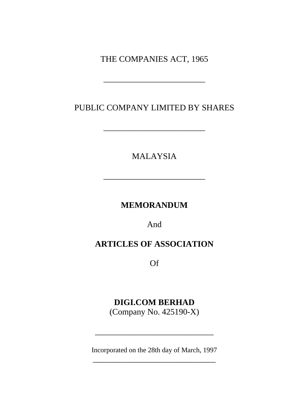THE COMPANIES ACT, 1965

\_\_\_\_\_\_\_\_\_\_\_\_\_\_\_\_\_\_\_\_\_\_\_\_

PUBLIC COMPANY LIMITED BY SHARES

\_\_\_\_\_\_\_\_\_\_\_\_\_\_\_\_\_\_\_\_\_\_\_\_

MALAYSIA

\_\_\_\_\_\_\_\_\_\_\_\_\_\_\_\_\_\_\_\_\_\_\_\_

**MEMORANDUM** 

And

## **ARTICLES OF ASSOCIATION**

Of

# **DIGI.COM BERHAD**

(Company No. 425190-X)

Incorporated on the 28th day of March, 1997 \_\_\_\_\_\_\_\_\_\_\_\_\_\_\_\_\_\_\_\_\_\_\_\_\_\_\_\_\_

\_\_\_\_\_\_\_\_\_\_\_\_\_\_\_\_\_\_\_\_\_\_\_\_\_\_\_\_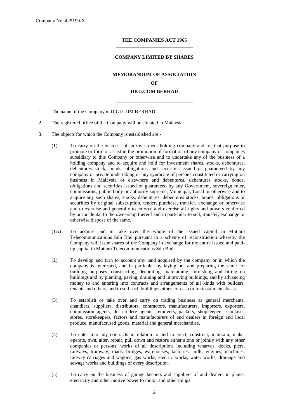#### **THE COMPANIES ACT 1965** \_\_\_\_\_\_\_\_\_\_\_\_\_\_\_\_\_\_\_\_\_\_\_\_\_\_\_\_\_\_\_

## **COMPANY LIMITED BY SHARES** \_\_\_\_\_\_\_\_\_\_\_\_\_\_\_\_\_\_\_\_\_\_\_\_\_\_\_\_\_\_\_

## **MEMORANDUM OF ASSOCIATION**

**OF**

## **DIGI.COM BERHAD** \_\_\_\_\_\_\_\_\_\_\_\_\_\_\_\_\_\_\_\_\_\_\_\_\_\_\_\_\_\_\_

- 1. The name of the Company is DIGI.COM BERHAD.
- 2. The registered office of the Company will be situated in Malaysia.
- 3. The objects for which the Company is established are:-
	- (1) To carry on the business of an investment holding company and for that purpose to promote or form or assist in the promotion of formation of any company or companies subsidiary to this Company or otherwise and to undertake any of the business of a holding company and to acquire and hold for investment shares, stocks, debentures, debentures stock, bonds, obligations and securities issued or guaranteed by any company or private undertaking or any syndicate of persons constituted or carrying on business in Malaysia or elsewhere and debentures, debentures stocks, bonds, obligations and securities issued or guaranteed by any Government, sovereign ruler, commissions, public body or authority supreme, Municipal, Local or otherwise and to acquire any such shares, stocks, debentures, debentures stocks, bonds, obligations or securities by original subscription, tender, purchase, transfer, exchange or otherwise and to exercise and generally to enforce and exercise all rights and powers conferred by or incidental to the ownership thereof and in particular to sell, transfer, exchange or otherwise dispose of the same.
	- (1A) To acquire and to take over the whole of the issued capital in Mutiara Telecommunications Sdn Bhd pursuant to a scheme of reconstruction whereby the Company will issue shares of the Company in exchange for the entire issued and paidup capital in Mutiara Telecommunications Sdn Bhd.
	- (2) To develop and turn to account any land acquired by the company or in which the company is interested, and in particular by laying out and preparing the same for building purposes, constructing, decorating, maintaining, furnishing and fitting up buildings and by planting, paving, draining and improving buildings, and by advancing money to and entering into contracts and arrangements of all kinds with builders, tenants and others, and to sell such buildings either for cash or on instalments basis.
	- (3) To establish or take over and carry on trading business as general merchants, chandlers, suppliers, distributors, contractors, manufacturers, importers, exporters, commission agents, del credere agents, removers, packers, shopkeepers, stockists, stores, storekeepers, factors and manufacturers of and dealers in foreign and local produce, manufactured goods, material and general merchandise.
	- (4) To enter into any contracts in relation to and to erect, construct, maintain, make, operate, own, alter, repair, pull down and restore either alone or jointly with any other companies or persons, works of all descriptions including wharves, docks, piers, railways, tramway, roads, bridges, warehouses, factories, mills, engines, machines, railway carriages and wagons, gas works, electric works, water works, drainage and sewage works and buildings of every description.
	- (5) To carry on the business of garage keepers and suppliers of and dealers in plants, electricity and other motive power to motor and other things.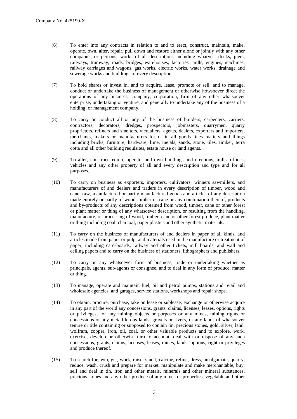- (6) To enter into any contracts in relation to and to erect, construct, maintain, make, operate, own, alter, repair, pull down and restore either alone or jointly with any other companies or persons, works of all descriptions including wharves, docks, piers, railways, tramway, roads, bridges, warehouses, factories, mills, engines, machines, railway carriages and wagons, gas works, electric works, water works, drainage and sewerage works and buildings of every description.
- (7) To hold shares or invest in, and to acquire, lease, promote or sell, and to manage, conduct or undertake the business of management or otherwise howsoever direct the operations of any business, company, corporation, firm of any other whatsoever enterprise, undertaking or venture, and generally to undertake any of the business of a holding, or management company.
- (8) To carry or conduct all or any of the business of builders, carpenters, carriers, contractors, decorators, dredges, prospectors, jobmasters, quarrymen, quarry proprietors, refiners and smelters, victuallers, agents, dealers, exporters and importers, merchants, makers or manufacturers for or in all goods lines matters and things including bricks, furniture, hardware, lime, metals, sands, stone, tiles, timber, terra cotta and all other building requisites, estate house or land agents.
- (9) To alter, construct, equip, operate, and own buildings and erections, mills, offices, vehicles and any other property of all and every description and type and for all purposes.
- (10) To carry on business as exporters, importers, cultivators, winners sawmillers, and manufacturers of and dealers and traders in every description of timber, wood and cane, raw, manufactured or partly manufactured goods and articles of any description made entirely or partly of wood, timber or cane or any combination thereof, products and by-products of any descriptions obtained from wood, timber, cane or other forest or plant matter or thing of any whatsoever description, or resulting from the handling, manufacture, or processing of wood, timber, cane or other forest produce, plant matter or thing including coal, charcoal, paper plastics and other synthetic materials.
- (11) To carry on the business of manufacturers of and dealers in paper of all kinds, and articles made from paper or pulp, and materials used in the manufacture or treatment of paper, including card-boards, railway and other tickets, mill boards, and wall and ceiling papers and to carry on the business of stationers, lithographers and publishers.
- (12) To carry on any whatsoever form of business, trade or undertaking whether as principals, agents, sub-agents or consignee, and to deal in any form of produce, matter or thing.
- (13) To manage, operate and maintain fuel, oil and petrol pumps, stations and retail and wholesale agencies, and garages, service stations, workshops and repair shops.
- (14) To obtain, procure, purchase, take on lease or sublease, exchange or otherwise acquire in any part of the world any concessions, grants, claims, licenses, leases, options, rights or privileges, for any mining objects or purposes or any mines, mining rights or concessions or any metalliferous lands, gravels or rivers, or any lands of whatsoever tenure or title containing or supposed to contain tin, precious stones, gold, silver, land, wolfram, copper, iron, oil, coal, or other valuable products and to explore, work, exercise, develop or otherwise turn to account, deal with or dispose of any such concessions, grants, claims, licenses, leases, mines, lands, options, right or privileges and produce thereof.
- (15) To search for, win, get, work, raise, smelt, calcine, refine, dress, amalgamate, quarry, reduce, wash, crush and prepare for market, manipulate and make merchantable, buy, sell and deal in tin, iron and other metals, minerals and other mineral substances, precious stones and any other produce of any mines or properties, vegetable and other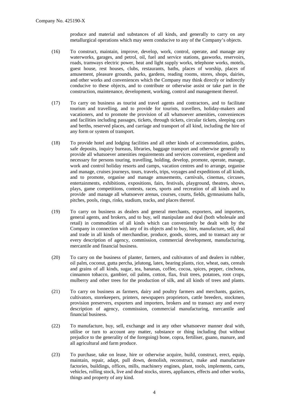produce and material and substances of all kinds, and generally to carry on any metallurgical operations which may seem conducive to any of the Company's objects.

- (16) To construct, maintain, improve, develop, work, control, operate, and manage any waterworks, garages, and petrol, oil, fuel and service stations, gasworks, reservoirs, roads, tramways electric power, heat and light supply works, telephone works, motels, guest house, rest houses, clubs, restaurants, baths, places of worship, places of amusement, pleasure grounds, parks, gardens, reading rooms, stores, shops, dairies, and other works and conveniences which the Company may think directly or indirectly conducive to these objects, and to contribute or otherwise assist or take part in the construction, maintenance, development, working, control and management thereof.
- (17) To carry on business as tourist and travel agents and contractors, and to facilitate tourism and travelling, and to provide for tourists, travellers, holiday-makers and vacationers, and to promote the provision of all whatsoever amenities, conveniences and facilities including passages, tickets, through tickets, circular tickets, sleeping cars and berths, reserved places, and carriage and transport of all kind, including the hire of any form or system of transport.
- (18) To provide hotel and lodging facilities and all other kinds of accommodation, guides, safe deposits, inquiry bureaus, libraries, baggage transport and otherwise generally to provide all whatsoever amenities requirements and services convenient, expedient and necessary for persons touring, travelling, holding, develop, promote, operate, manage, work and control holiday resorts and camps, vacation centres and to arrange, organise and manage, cruises journeys, tours, travels, trips, voyages and expeditions of all kinds, and to promote, organise and manage amusements, carnivals, cinemas, circuses, entertainments, exhibitions, expositions, fairs, festivals, playground, theatres, shows, plays, game competitions, contests, races, sports and recreation of all kinds and to provide and manage all whatsoever arenas, courses, courts, fields, gymnasiums halls, pitches, pools, rings, rinks, stadium, tracks, and places thereof.
- (19) To carry on business as dealers and general merchants, exporters, and importers, general agents, and brokers, and to buy, sell manipulate and deal (both wholesale and retail) in commodities of all kinds which can conveniently be dealt with by the Company in connection with any of its objects and to buy, hire, manufacture, sell, deal and trade in all kinds of merchandise, produce, goods, stores, and to transact any or every description of agency, commission, commercial development, manufacturing, mercantile and financial business.
- (20) To carry on the business of planter, farmers, and cultivators of and dealers in rubber, oil palm, coconut, gutta percha, jelutong, latex, bearing plants, rice, wheat, oats, cereals and grains of all kinds, sugar, tea, bananas, coffee, cocoa, spices, pepper, cinchona, cinnamon tobacco, gambier, oil palms, cotton, flax, fruit trees, potatoes, root crops, mulberry and other trees for the production of silk, and all kinds of trees and plants.
- (21) To carry on business as farmers, dairy and poultry farmers and merchants, gaziers, cultivators, storekeepers, printers, newspapers proprietors, cattle breeders, stockmen, provision preservers, exporters and importers, brokers and to transact any and every description of agency, commission, commercial manufacturing, mercantile and financial business.
- (22) To manufacture, buy, sell, exchange and in any other whatsoever manner deal with, utilise or turn to account any matter, substance or thing including (but without prejudice to the generality of the foregoing) bone, copra, fertiliser, guano, manure, and all agricultural and farm produce.
- (23) To purchase, take on lease, hire or otherwise acquire, build, construct, erect, equip, maintain, repair, adapt, pull down, demolish, reconstruct, make and manufacture factories, buildings, offices, mills, machinery engines, plant, tools, implements, carts, vehicles, rolling stock, live and dead stocks, stores, appliances, effects and other works, things and property of any kind.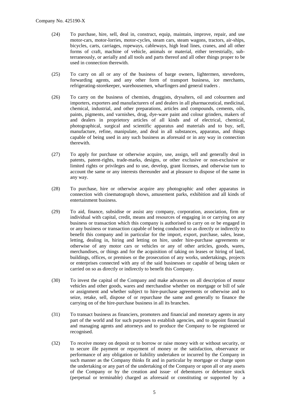- (24) To purchase, hire, sell, deal in, construct, equip, maintain, improve, repair, and use motor-cars, motor-lorries, motor-cycles, steam cars, steam wagons, tractors, air-ships, bicycles, carts, carriages, ropeways, cableways, high lead lines, cranes, and all other forms of craft, machine of vehicle, animals or material, either terrestrially, subterraneously, or aerially and all tools and parts thereof and all other things proper to be used in connection therewith.
- (25) To carry on all or any of the business of barge owners, lightermen, stevedores, forwarding agents, and any other form of transport business, ice merchants, refrigerating-storekeeper, warehousemen, wharfingers and general traders .
- (26) To carry on the business of chemists, druggists, drysalters, oil and colourmen and importers, exporters and manufacturers of and dealers in all pharmaceutical, medicinal, chemical, industrial, and other preparations, articles and compounds, cements, oils, paints, pigments, and varnishes, drug, dye-ware paint and colour grinders, makers of and dealers in proprietory articles of all kinds and of electrical, chemical, photographical, surgical and scientific apparatus and materials and to buy, sell, manufacture, refine, manipulate, and deal in all substances, apparatus, and things capable of being used in any such business as aforesaid or in any way in connection therewith.
- (27) To apply for purchase or otherwise acquire, use, assign, sell and generally deal in patents, patent-rights, trade-marks, designs, or other exclusive or non-exclusive or limited rights or privileges and to use, develop, grant licenses, and otherwise tum to account the same or any interests thereunder and at pleasure to dispose of the same in any way.
- (28) To purchase, hire or otherwise acquire any photographic and other apparatus in connection with cinematograph shows, amusement parks, exhibition and all kinds of entertainment business.
- (29) To aid, finance, subsidise or assist any company, corporation, association, firm or individual with capital, credit, means and resources of engaging in or carrying on any business or transaction which this company is authorised to carry on or be engaged in or any business or transaction capable of being conducted so as directly or indirectly to benefit this company and in particular for the import, export, purchase, sales, lease, letting, dealing in, hiring and letting on hire, under hire-purchase agreements or otherwise of any motor cars or vehicles or any of other articles, goods, wares, merchandises, or things and for the acquisition of taking on leases or hiring of land, buildings, offices, or premises or the prosecution of any works, undertakings, projects or enterprises connected with any of the said businesses or capable of being taken or carried on so as directly or indirectly to benefit this Company.
- (30) To invest the capital of the Company and make advances on all description of motor vehicles and other goods, wares and merchandise whether on mortgage or bill of sale or assignment and whether subject to hire-purchase agreements or otherwise and to seize, retake, sell, dispose of or repurchase the same and generally to finance the carrying on of the hire-purchase business in all its branches.
- (31) To transact business as financiers, promoters and financial and monetary agents in any part of the world and for such purposes to establish agencies, and to appoint financial and managing agents and attorneys and to produce the Company to be registered or recognised.
- (32) To receive money on deposit or to borrow or raise money with or without security, or to secure ille payment or repayment of money or the satisfaction, observance or performance of any obligation or liability undertaken or incurred by the Company in such manner as the Company thinks fit and in particular by mortgage or charge upon the undertaking or any part of the undertaking of the Company or upon all or any assets of the Company or by the creation and issue· of debentures or debenture stock (perpetual or terminable) charged as aforesaid or constituting or supported by a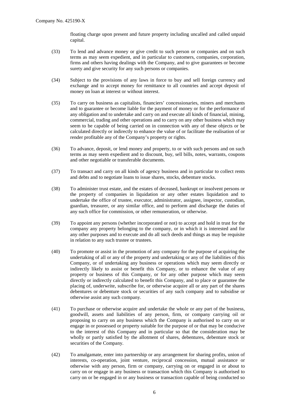floating charge upon present and future property including uncalled and called unpaid capital.

- (33) To lend and advance money or give credit to such person or companies and on such terms as may seem expedient, and in particular to customers, companies, corporation, firms and others having dealings with the Company, and to give guarantees or become surety and give security for any such persons or companies.
- (34) Subject to the provisions of any laws in force to buy and sell foreign currency and exchange and to accept money for remittance to all countries and accept deposit of money on loan at interest or without interest.
- (35) To carry on business as capitalists, financiers' concessionaries, miners and merchants and to guarantee or become liable for the payment of money or for the performance of any obligation and to undertake and carry on and execute all kinds of financial, mining, commercial, trading and other operations and to carry on any other business which may seem to be capable of being carried on in connection with any of these objects or be calculated directly or indirectly to enhance the value of or facilitate the realisation of or render profitable any of the Company's property or rights.
- (36) To advance, deposit, or lend money and property, to or with such persons and on such terms as may seem expedient and to discount, buy, sell bills, notes, warrants, coupons and other negotiable or transferable documents.
- (37) To transact and carry on all kinds of agency business and in particular to collect rents and debts and to negotiate loans to issue shares, stocks, debenture stocks.
- (38) To administer trust estate, and the estates of deceased, bankrupt or insolvent persons or the property of companies in liquidation or any other estates liquidation and to undertake the office of trustee, executor, administrator, assignee, inspector, custodian, guardian, treasurer, or any similar office, and to perform and discharge the duties of any such office for commission, or other remuneration, or otherwise.
- (39) To appoint any persons (whether incorporated or not) to accept and hold in trust for the company any property belonging to the company, or in which it is interested and for any other purposes and to execute and do all such deeds and things as may be requisite in relation to any such trustee or trustees.
- (40) To promote or assist in the promotion of any company for the purpose of acquiring the undertaking of all or any of the property and undertaking or any of the liabilities of this Company, or of undertaking any business or operations which may seem directly or indirectly likely to assist or benefit this Company, or to enhance the value of any property or business of this Company, or for any other purpose which may seem directly or indirectly calculated to benefit this Company, and to place or guarantee the placing of, underwrite, subscribe for, or otherwise acquire all or any part of the shares debentures or debenture stock or securities of any such company and to subsidise or otherwise assist any such company.
- (41) To purchase or otherwise acquire and undertake the whole or any part of the business, goodwill, assets and liabilities of any person, firm, or company carrying oil or proposing to carry on any business which the Company is authorised to carry on or engage in or possessed or property suitable for the purpose of or that may be conducive to the interest of this Company and in particular so that the consideration may be wholly or partly satisfied by the allotment of shares, debentures, debenture stock or securities of the Company.
- (42) To amalgamate, enter into partnership or any arrangement for sharing profits, union of interests, co-operation, joint venture, reciprocal concession, mutual assistance or otherwise with any person, firm or company, carrying on or engaged in or about to carry on or engage in any business or transaction which this Company is authorised to carry on or be engaged in or any business or transaction capable of being conducted so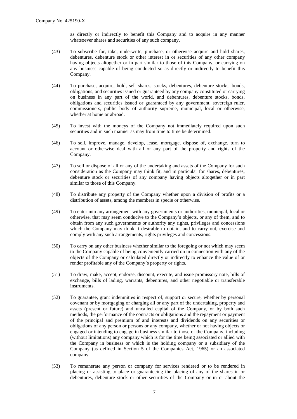as directly or indirectly to benefit this Company and to acquire in any manner whatsoever shares and securities of any such company.

- (43) To subscribe for, take, underwrite, purchase, or otherwise acquire and hold shares, debentures, debenture stock or other interest in or securities of any other company having objects altogether or in part similar to those of this Company, or carrying on any business capable of being conducted so as directly or indirectly to benefit this Company.
- (44) To purchase, acquire, hold, sell shares, stocks, debentures, debenture stocks, bonds, obligations, and securities issued or guaranteed by any company constituted or carrying on business in any part of the world, and debentures, debenture stocks, bonds, obligations and securities issued or guaranteed by any government, sovereign ruler, commissioners, public body of authority supreme, municipal, local or otherwise, whether at home or abroad.
- (45) To invest with the moneys of the Company not immediately required upon such securities and in such manner as may from time to time be determined.
- (46) To sell, improve, manage, develop, lease, mortgage, dispose of, exchange, turn to account or otherwise deal with all or any part of the property and rights of the Company.
- (47) To sell or dispose of all or any of the undertaking and assets of the Company for such consideration as the Company may think fit, and in particular for shares, debentures, debenture stock or securities of any company having objects altogether or in part similar to those of this Company.
- (48) To distribute any property of the Company whether upon a division of profits or a distribution of assets, among the members in specie or otherwise.
- (49) To enter into any arrangement with any governments or authorities, municipal, local or otherwise, that may seem conducive to the Company's objects, or any of them, and to obtain from any such governments or authority any rights, privileges and concessions which the Company may think it desirable to obtain, and to carry out, exercise and comply with any such arrangements, rights privileges and concessions.
- (50) To carry on any other business whether similar to the foregoing or not which may seem to the Company capable of being conveniently carried on in connection with any of the objects of the Company or calculated directly or indirectly to enhance the value of or render profitable any of the Company's property or rights.
- (51) To draw, make, accept, endorse, discount, execute, and issue promissory note, bills of exchange, bills of lading, warrants, debentures, and other negotiable or transferable instruments.
- (52) To guarantee, grant indemnities in respect of, support or secure, whether by personal covenant or by mortgaging or charging all or any part of the undertaking, property and assets (present or future) and uncalled capital of the Company, or by both such methods, the performance of the contracts or obligations and the repayment or payment of the principal and premium of and interests and dividends on any securities or obligations of any person or persons or any company, whether or not having objects or engaged or intending to engage in business similar to those of the Company, including (without limitations) any company which is for the time being associated or allied with the Company in business or which is the holding company or a subsidiary of the Company (as defined in Section 5 of the Companies Act, 1965) or an associated company.
- (53) To remunerate any person or company for services rendered or to be rendered in placing or assisting to place or guaranteeing the placing of any of the shares in or debentures, debenture stock or other securities of the Company or in or about the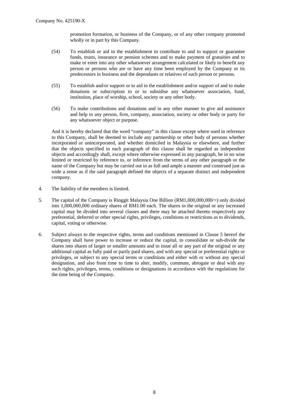promotion formation, or business of the Company, or of any other company promoted wholly or in part by this Company.

- (54) To establish or aid in the establishment to contribute to and to support or guarantee funds, trusts, insurance or pension schemes and to make payment of gratuities and to make or enter into any other whatsoever arrangement calculated or likely to benefit any person or persons who are or have any time been employed by the Company or its predecessors in business and the dependants or relatives of such person or persons.
- (55) To establish and/or support or to aid in the establishment and/or support of and to make donations or subscription to or to subsidise any whatsoever association, fund, institution, place of worship, school, society or any other body.
- (56) To make contributions and donations and in any other manner to give aid assistance and help to any person, firm, company, association, society or other body or party for any whatsoever object or purpose.

And it is hereby declared that the word "company" in this clause except where used in reference to this Company, shall be deemed to include any partnership or other body of persons whether incorporated or unincorporated, and whether domiciled in Malaysia or elsewhere, and further that the objects specified in each paragraph of this clause shall be regarded as independent objects and accordingly shall, except where otherwise expressed in any paragraph, be in no wise limited or restricted by reference to, or inference from the terms of any other paragraph or the name of the Company but may be carried out in as full and ample a manner and construed just as wide a sense as if the said paragraph defined the objects of a separate distinct and independent company.

- 4. The liability of the members is limited.
- 5. The capital of the Company is Ringgit Malaysia One Billion (RM1,000,000,000/=) only divided into 1,000,000,000 ordinary shares of RM1.00 each. The shares in the original or any increased capital may be divided into several classes and there may be attached thereto respectively any preferential, deferred or other special rights, privileges, conditions or restrictions as to dividends, capital, voting or otherwise.
- 6. Subject always to the respective rights, terms and conditions mentioned in Clause 5 hereof the Company shall have power to increase or reduce the capital, to consolidate or sub-divide the shares into shares of larger or smaller amounts and to issue all or any part of the original or any additional capital as fully paid or partly paid shares, and with any special or preferential rights or privileges, or subject to any special terms or conditions and either with or without any special designation, and also from time to time to alter, modify, commute, abrogate or deal with any such rights, privileges, terms, conditions or designations in accordance with the regulations for the time being of the Company.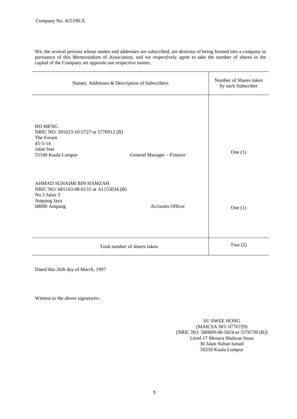We, the several persons whose names and addresses are subscribed, are desirous of being formed into a company in pursuance of this Memorandum of Association, and we respectively agree to take the number of shares in the capital of the Company set opposite our respective names.

| Names, Addresses & Description of Subscribers                                                                              |                           | Number of Shares taken<br>by each Subscriber |
|----------------------------------------------------------------------------------------------------------------------------|---------------------------|----------------------------------------------|
| <b>HO MENG</b><br>NRIC NO: 591023-10-5727 or 5776912 (B)<br>The Forum<br>$45 - 5 - 14$<br>Jalan Inai<br>55100 Kuala Lumpur | General Manager - Finance | One $(1)$                                    |
| AHMAD SUHAIMI BIN HAMZAH<br>NRIC NO: 681103-08-6131 or A1153034 (B)<br>No 5 Jalan 3<br>Ampang Jaya<br>68000 Ampang         | <b>Accounts Officer</b>   | One $(1)$                                    |
| Total number of shares taken                                                                                               |                           | Two $(2)$                                    |

Dated this 26th day of March, 1997

Witness to the above signatures:-

SU SWEE HONG (MAICSA NO: 0776729) [NRIC NO: 580809-08-5824 or 5576739 (B)] Level 17 Menara Shahzan Insas 30 Jalan Sultan Ismail 50250 Kuala Lumpur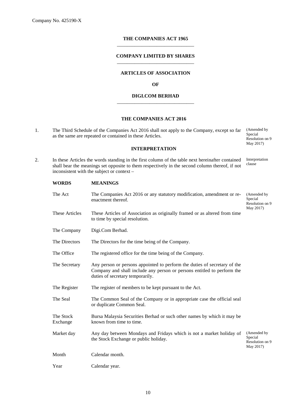## **THE COMPANIES ACT 1965** \_\_\_\_\_\_\_\_\_\_\_\_\_\_\_\_\_\_\_\_\_\_\_\_\_\_\_\_\_\_\_

## **COMPANY LIMITED BY SHARES** \_\_\_\_\_\_\_\_\_\_\_\_\_\_\_\_\_\_\_\_\_\_\_\_\_\_\_\_\_\_\_

## **ARTICLES OF ASSOCIATION**

#### **OF**

## **DIGI.COM BERHAD** \_\_\_\_\_\_\_\_\_\_\_\_\_\_\_\_\_\_\_\_\_\_\_\_\_\_\_\_\_\_\_

## **THE COMPANIES ACT 2016**

1. The Third Schedule of the Companies Act 2016 shall not apply to the Company, except so far as the same are repeated or contained in these Articles. (Amended by Special Resolution on 9

## **INTERPRETATION**

May 2017)

2. In these Articles the words standing in the first column of the table next hereinafter contained shall bear the meanings set opposite to them respectively in the second column thereof, if not inconsistent with the subject or context – Interpretation clause

| <b>WORDS</b>          | <b>MEANINGS</b>                                                                                                                                                                          |                                                        |
|-----------------------|------------------------------------------------------------------------------------------------------------------------------------------------------------------------------------------|--------------------------------------------------------|
| The Act               | The Companies Act 2016 or any statutory modification, amendment or re-<br>(Amended by<br>Special<br>enactment thereof.<br>Resolution on 9                                                |                                                        |
| <b>These Articles</b> | May 2017)<br>These Articles of Association as originally framed or as altered from time<br>to time by special resolution.                                                                |                                                        |
| The Company           | Digi.Com Berhad.                                                                                                                                                                         |                                                        |
| The Directors         | The Directors for the time being of the Company.                                                                                                                                         |                                                        |
| The Office            | The registered office for the time being of the Company.                                                                                                                                 |                                                        |
| The Secretary         | Any person or persons appointed to perform the duties of secretary of the<br>Company and shall include any person or persons entitled to perform the<br>duties of secretary temporarily. |                                                        |
| The Register          | The register of members to be kept pursuant to the Act.                                                                                                                                  |                                                        |
| The Seal              | The Common Seal of the Company or in appropriate case the official seal<br>or duplicate Common Seal.                                                                                     |                                                        |
| The Stock<br>Exchange | Bursa Malaysia Securities Berhad or such other names by which it may be<br>known from time to time.                                                                                      |                                                        |
| Market day            | Any day between Mondays and Fridays which is not a market holiday of<br>the Stock Exchange or public holiday.                                                                            | (Amended by<br>Special<br>Resolution on 9<br>May 2017) |
| Month                 | Calendar month.                                                                                                                                                                          |                                                        |
| Year                  | Calendar year.                                                                                                                                                                           |                                                        |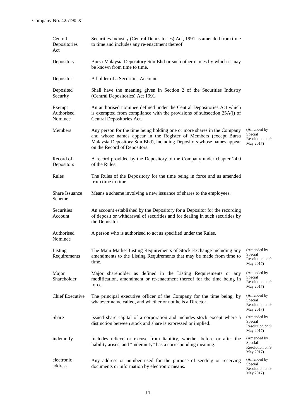| Central<br>Depositories<br>Act  | Securities Industry (Central Depositories) Act, 1991 as amended from time<br>to time and includes any re-enactment thereof.                                                                                                                         |                                                         |
|---------------------------------|-----------------------------------------------------------------------------------------------------------------------------------------------------------------------------------------------------------------------------------------------------|---------------------------------------------------------|
| Depository                      | Bursa Malaysia Depository Sdn Bhd or such other names by which it may<br>be known from time to time.                                                                                                                                                |                                                         |
| Depositor                       | A holder of a Securities Account.                                                                                                                                                                                                                   |                                                         |
| Deposited<br>Security           | Shall have the meaning given in Section 2 of the Securities Industry<br>(Central Depositories) Act 1991.                                                                                                                                            |                                                         |
| Exempt<br>Authorised<br>Nominee | An authorised nominee defined under the Central Depositories Act which<br>is exempted from compliance with the provisions of subsection 25A(l) of<br>Central Depositories Act.                                                                      |                                                         |
| Members                         | Any person for the time being holding one or more shares in the Company<br>and whose names appear in the Register of Members (except Bursa<br>Malaysia Depository Sdn Bhd), including Depositors whose names appear<br>on the Record of Depositors. | (Amended by<br>Special<br>Resolution on 9<br>May 2017)  |
| Record of<br>Depositors         | A record provided by the Depository to the Company under chapter 24.0<br>of the Rules.                                                                                                                                                              |                                                         |
| Rules                           | The Rules of the Depository for the time being in force and as amended<br>from time to time.                                                                                                                                                        |                                                         |
| Share Issuance<br>Scheme        | Means a scheme involving a new issuance of shares to the employees.                                                                                                                                                                                 |                                                         |
| Securities<br>Account           | An account established by the Depository for a Depositor for the recording<br>of deposit or withdrawal of securities and for dealing in such securities by<br>the Depositor.                                                                        |                                                         |
| Authorised<br>Nominee           | A person who is authorised to act as specified under the Rules.                                                                                                                                                                                     |                                                         |
| Listing<br>Requirements         | The Main Market Listing Requirements of Stock Exchange including any<br>amendments to the Listing Requirements that may be made from time to<br>time.                                                                                               | (Amended by<br>Special<br>Resolution on 9<br>May 2017)  |
| Major<br>Shareholder            | Major shareholder as defined in the Listing Requirements or any<br>modification, amendment or re-enactment thereof for the time being in<br>force.                                                                                                  | (Amended by<br>Special<br>Resolution on 9<br>May 2017)  |
| <b>Chief Executive</b>          | The principal executive officer of the Company for the time being, by<br>whatever name called, and whether or not he is a Director.                                                                                                                 | (Amended by<br>Special<br>Resolution on 9<br>May 2017)  |
| Share                           | Issued share capital of a corporation and includes stock except where a<br>distinction between stock and share is expressed or implied.                                                                                                             | (Amended by<br>Special<br>Resolution on 9<br>May 2017)  |
| indemnify                       | Includes relieve or excuse from liability, whether before or after the<br>liability arises, and "indemnity" has a corresponding meaning.                                                                                                            | (Amended by)<br>Special<br>Resolution on 9<br>May 2017) |
| electronic<br>address           | Any address or number used for the purpose of sending or receiving<br>documents or information by electronic means.                                                                                                                                 | (Amended by<br>Special<br>Resolution on 9<br>May 2017)  |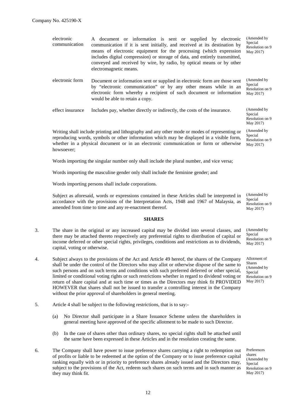| electronic<br>communication | A document or information is sent or supplied by electronic<br>communication if it is sent initially, and received at its destination by<br>means of electronic equipment for the processing (which expression<br>includes digital compression) or storage of data, and entirely transmitted,<br>conveyed and received by wire, by radio, by optical means or by other<br>electromagnetic means. | (Amended by<br>Special<br>Resolution on 9<br>May 2017) |
|-----------------------------|--------------------------------------------------------------------------------------------------------------------------------------------------------------------------------------------------------------------------------------------------------------------------------------------------------------------------------------------------------------------------------------------------|--------------------------------------------------------|
| electronic form             | Document or information sent or supplied in electronic form are those sent<br>by "electronic communication" or by any other means while in an<br>electronic form whereby a recipient of such document or information<br>would be able to retain a copy.                                                                                                                                          | (Amended by<br>Special<br>Resolution on 9<br>May 2017) |
| effect insurance            | Includes pay, whether directly or indirectly, the costs of the insurance.                                                                                                                                                                                                                                                                                                                        | (Amended by<br>Special<br>Resolution on 9              |

Writing shall include printing and lithography and any other mode or modes of representing or reproducing words, symbols or other information which may be displayed in a visible form, whether in a physical document or in an electronic communication or form or otherwise howsoever;

Words importing the singular number only shall include the plural number, and vice versa;

Words importing the masculine gender only shall include the feminine gender; and

Words importing persons shall include corporations.

Subject as aforesaid, words or expressions contained in these Articles shall be interpreted in accordance with the provisions of the Interpretation Acts, 1948 and 1967 of Malaysia, as amended from time to time and any re-enactment thereof.

#### **SHARES**

- 3. The share in the original or any increased capital may be divided into several classes, and there may be attached thereto respectively any preferential rights to distribution of capital or income deferred or other special rights, privileges, conditions and restrictions as to dividends, capital, voting or otherwise.
- 4. Subject always to the provisions of the Act and Article 49 hereof, the shares of the Company shall be under the control of the Directors who may allot or otherwise dispose of the same to such persons and on such terms and conditions with such preferred deferred or other special, limited or conditional voting rights or such restrictions whether in regard to dividend voting or return of share capital and at such time or times as the Directors may think fit PROVIDED HOWEVER that shares shall not be issued to transfer a controlling interest in the Company without the prior approval of shareholders in general meeting.
- 5. Article 4 shall be subject to the following restrictions, that is to say:-
	- (a) No Director shall participate in a Share Issuance Scheme unless the shareholders in general meeting have approved of the specific allotment to be made to such Director.
	- (b) In the case of shares other than ordinary shares, no special rights shall be attached until the same have been expressed in these Articles and in the resolution creating the same.
- 6. The Company shall have power to issue preference shares carrying a right to redemption out of profits or liable to be redeemed at the option of the Company or to issue preference capital ranking equally with or in priority to preference shares already issued and the Directors may, subject to the provisions of the Act, redeem such shares on such terms and in such manner as they may think fit.

(Amended by Special Resolution on 9 May 2017)

May 2017)

(Amended by Special Resolution on 9 May 2017)

(Amended by Special Resolution on 9 May 2017)

Allotment of Shares (Amended by Special Resolution on 9 May 2017)

Preferences shares (Amended by Special Resolution on 9 May 2017)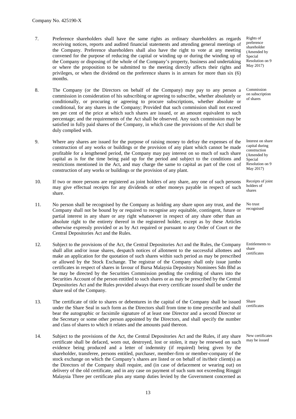- 7. Preference shareholders shall have the same rights as ordinary shareholders as regards receiving notices, reports and audited financial statements and attending general meetings of the Company. Preference shareholders shall also have the right to vote at any meeting convened for the purpose of reducing the capital or winding up or during the winding up of the Company or disposing of the whole of the Company's property, business and undertaking or where the proposition to be submitted to the meeting directly affects their rights and privileges, or when the dividend on the preference shares is in arrears for more than six (6) months.
- 8. The Company (or the Directors on behalf of the Company) may pay to any person a commission in consideration of his subscribing or agreeing to subscribe, whether absolutely or conditionally, or procuring or agreeing to procure subscriptions, whether absolute or conditional, for any shares in the Company; Provided that such commission shall not exceed ten per cent of the price at which such shares are issued, or an amount equivalent to such percentage; and the requirements of the Act shall be observed. Any such commission may be satisfied in fully paid shares of the Company, in which case the provisions of the Act shall be duly complied with.
- 9. Where any shares are issued for the purpose of raising money to defray the expenses of the construction of any works or buildings or the provision of any plant which cannot be made profitable for a lengthened period, the Company may pay interest on so much of such share capital as is for the time being paid up for the period and subject to the conditions and restrictions mentioned in the Act, and may charge the same to capital as part of the cost of construction of any works or buildings or the provision of any plant.
- 10. If two or more persons are registered as joint holders of any share, any one of such persons may give effectual receipts for any dividends or other moneys payable in respect of such share.
- 11. No person shall be recognised by the Company as holding any share upon any trust, and the Company shall not be bound by or required to recognise any equitable, contingent, future or partial interest in any share or any right whatsoever in respect of any share other than an absolute right to the entirety thereof in the registered holder, except as by these Articles otherwise expressly provided or as by Act required or pursuant to any Order of Court or the Central Depositories Act and the Rules.
- 12. Subject to the provisions of the Act, the Central Depositories Act and the Rules, the Company shall allot and/or issue shares, despatch notices of allotment to the successful allottees and make an application for the quotation of such shares within such period as may be prescribed or allowed by the Stock Exchange. The registrar of the Company shall only issue jumbo certificates in respect of shares in favour of Bursa Malaysia Depository Nominees Sdn Bhd as he may be directed by the Securities Commission pending the crediting of shares into the Securities Account of the person entitled to such shares or as may be prescribed by the Central Depositories Act and the Rules provided always that every certificate issued shall be under the share seal of the Company.
- 13. The certificate of title to shares or debentures in the capital of the Company shall be issued under the Share Seal in such form as the Directors shall from time to time prescribe and shall bear the autographic or facsimile signature of at least one Director and a second Director or the Secretary or some other person appointed by the Directors, and shall specify the number and class of shares to which it relates and the amounts paid thereon.
- 14. Subject to the provisions of the Act, the Central Depositories Act and the Rules, if any share certificate shall be defaced, worn out, destroyed, lost or stolen, it may be renewed on such evidence being produced and a letter of indemnity (if required) being given by the shareholder, transferee, persons entitled, purchaser, member-firm or member-company of the stock exchange on which the Company's shares are listed or on behalf of its/their client(s) as the Directors of the Company shall require, and (in case of defacement or wearing out) on delivery of the old certificate, and in any case on payment of such sum not exceeding Ringgit Malaysia Three per certificate plus any stamp duties levied by the Government concerned as

Rights of preference shareholder (Amended by Special Resolution on 9 May 2017)

Commission on subscription of shares

Interest on share capital during construction (Amended by Special Resolution on 9 May 2017)

Receipts of joint holders of shares

No trust recognised

Entitlements to share certificates

Share certificates

New certificates may be issued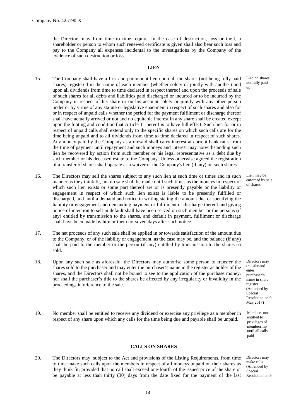the Directors may from time to time require. In the case of destruction, loss or theft, a shareholder or person to whom such renewed certificate is given shall also bear such loss and pay to the Company all expenses incidental to the investigations by the Company of the evidence of such destruction or loss.

#### **LIEN**

- 15. The Company shall have a first and paramount lien upon all the shares (not being fully paid shares) registered in the name of each member (whether solely or jointly with another) and upon all dividends from time to time declared in respect thereof and upon the proceeds of sale of such shares for all debts and liabilities paid discharged or incurred or to be incurred by the Company in respect of his share or on his account solely or jointly with any other person under or by virtue of any statute or legislative enactment in respect of such shares and also for or in respect of unpaid calls whether the period for the payment fulfilment or discharge thereof shall have actually arrived or not and no equitable interest in any share shall be created except upon the footing and condition that Article 11 hereof is to have full effect. Such lien for or in respect of unpaid calls shall extend only to the specific shares on which such calls are for the time being unpaid and to all dividends from time to time declared in respect of such shares. Any money paid by the Company as aforesaid shall carry interest at current bank rates from the time of payment until repayment and such moneys and interest may notwithstanding such lien be recovered by action from such member or his legal representative as a debt due by such member or his deceased estate to the Company. Unless otherwise agreed the registration of a transfer of shares shall operate as a waiver of the Company's lien (if any) on such shares.
- 16. The Directors may sell the shares subject to any such lien at such time or times and in such manner as they think fit, but no sale shall be made until such times as the moneys in respect of which such lien exists or some part thereof are or is presently payable or the liability or engagement in respect of which such lien exists is liable to be presently fulfilled or discharged, and until a demand and notice in writing stating the amount due or specifying the liability or engagement and demanding payment or fulfilment or discharge thereof and giving notice of intention to sell in default shall have been served on such member or the persons (if any) entitled by transmission to the shares, and default in payment, fulfilment or discharge shall have been made by him or them for seven days after such notice.
- 17. The net proceeds of any such sale shall be applied in or towards satisfaction of the amount due to the Company, or of the liability or engagement, as the case may be, and the balance (if any) shall be paid to the member or the person (if any) entitled by transmission to the shares so sold.
- 18. Upon any such sale as aforesaid, the Directors may authorise some person to transfer the shares sold to the purchaser and may enter the purchaser's name in the register as holder of the shares, and the Directors shall not be bound to see to the application of the purchase money, nor shall the purchaser's title to the shares be affected by any irregularity or invalidity in the proceedings in reference to the sale.
- 19. No member shall be entitled to receive any dividend or exercise any privilege as a member in respect of any share upon which any calls for the time being due and payable shall be unpaid.

#### **CALLS ON SHARES**

20. The Directors may, subject to the Act and provisions of the Listing Requirements, from time to time make such calls upon the members in respect of all moneys unpaid on their shares as they think fit, provided that no call shall exceed one-fourth of the issued price of the share or be payable at less than thirty (30) days from the date fixed for the payment of the last

Lien on shares not fully paid up

Lien may be enforced by sale of shares

Directors may transfer and enter purchaser's name in share register (Amended by Special Resolution on 9 May 2017)

Members not entitled to privileges of membership until all calls paid

Directors may make calls (Amended by Special Resolution on 9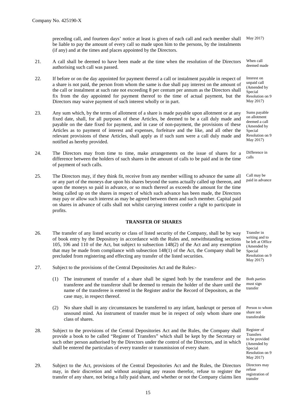preceding call, and fourteen days' notice at least is given of each call and each member shall be liable to pay the amount of every call so made upon him to the persons, by the instalments (if any) and at the times and places appointed by the Directors. May 2017)

- 21. A call shall be deemed to have been made at the time when the resolution of the Directors authorising such call was passed.
- 22. If before or on the day appointed for payment thereof a call or instalment payable in respect of a share is not paid, the person from whom the same is due shall pay interest on the amount of the call or instalment at such rate not exceeding 8 per centum per annum as the Directors shall fix from the day appointed for payment thereof to the time of actual payment, but the Directors may waive payment of such interest wholly or in part.
- 23. Any sum which, by the terms of allotment of a share is made payable upon allotment or at any fixed date, shall, for all purposes of these Articles, be deemed to be a call duly made and payable on the date fixed for payment, and in case of non-payment, the provisions of these Articles as to payment of interest and expenses, forfeiture and the like, and all other the relevant provisions of these Articles, shall apply as if such sum were a call duly made and notified as hereby provided.
- 24. The Directors may from time to time, make arrangements on the issue of shares for a difference between the holders of such shares in the amount of calls to be paid and in the time of payment of such calls.
- 25. The Directors may, if they think fit, receive from any member willing to advance the same all or any part of the moneys due upon his shares beyond the sums actually called up thereon, and upon the moneys so paid in advance, or so much thereof as exceeds the amount for the time being called up on the shares in respect of which such advance has been made, the Directors may pay or allow such interest as may be agreed between them and such member. Capital paid on shares in advance of calls shall not whilst carrying interest confer a right to participate in profits.

#### **TRANSFER OF SHARES**

- 26. The transfer of any listed security or class of listed security of the Company, shall be by way of book entry by the Depository in accordance with the Rules and, notwithstanding sections 105, 106 and 110 of the Act, but subject to subsection 148(2) of the Act and any exemption that may be made from compliance with subsection 148(1) of the Act, the Company shall be precluded from registering and effecting any transfer of the listed securities.
- 27. Subject to the provisions of the Central Depositories Act and the Rules:-
	- (1) The instrument of transfer of a share shall be signed both by the transferor and the transferee and the transferor shall be deemed to remain the holder of the share until the name of the transferee is entered in the Register and/or the Record of Depositors, as the case may, in respect thereof.
	- (2) No share shall in any circumstances be transferred to any infant, bankrupt or person of unsound mind. An instrument of transfer must be in respect of only whom share one class of shares.
- 28. Subject to the provisions of the Central Depositories Act and the Rules, the Company shall provide a book to be called "Register of Transfers" which shall be kept by the Secretary or such other person authorised by the Directors under the control of the Directors, and in which shall be entered the particulars of every transfer or transmission of every share.
- 29. Subject to the Act, provisions of the Central Depositories Act and the Rules, the Directors may, in their discretion and without assigning any reason therefor, refuse to register the transfer of any share, not being a fully paid share, and whether or not the Company claims lien

When call deemed made

Interest on unpaid call (Amended by **Special** Resolution on 9 May 2017)

Sums payable on allotment deemed a call (Amended by Special Resolution on 9 May 2017)

Difference in calls

Call may be paid in advance

Transfer in writing and to be left at Office (Amended by Special Resolution on 9 May 2017)

Both parties must sign transfer

Person to whom share not transferable

Register of **Transfers** to be provided (Amended by Special Resolution on 9 May 2017)

Directors may refuse registration of transfer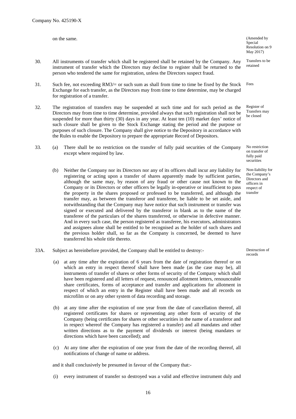on the same. (Amended by  $($ Amended by  $)$ 

for registration of a transfer.

Special Resolution on 9 May 2017)

Transfers to be retained

Register of Transfers may be closed

No restriction on transfer of fully paid securities

Non-liability for the Company's Directors and officers in respect of transfer

33A. Subject as hereinbefore provided, the Company shall be entitled to destroy:- Destruction of

- (a) at any time after the expiration of 6 years from the date of registration thereof or on which an entry in respect thereof shall have been made (as the case may be), all instruments of transfer of shares or other forms of security of the Company which shall have been registered and all letters of request, renounced allotment letters, renounceable share certificates, forms of acceptance and transfer and applications for allotment in respect of which an entry in the Register shall have been made and all records on microfilm or on any other system of data recording and storage.
- (b) at any time after the expiration of one year from the date of cancellation thereof, all registered certificates for shares or representing any other form of security of the Company (being certificates for shares or other securities in the name of a transferor and in respect whereof the Company has registered a transfer) and all mandates and other written directions as to the payment of dividends or interest (being mandates or directions which have been cancelled); and
- (c) At any time after the expiration of one year from the date of the recording thereof, all notifications of change of name or address.

and it shall conclusively be presumed in favour of the Company that:-

(i) every instrument of transfer so destroyed was a valid and effective instrument duly and

16

records

#### 31. Such fee, not exceeding RM3/= or such sum as shall from time to time be fixed by the Stock Fees

Exchange for each transfer, as the Directors may from time to time determine, may be charged

32. The registration of transfers may be suspended at such time and for such period as the Directors may from time to time determine, provided always that such registration shall not be suspended for more than thirty (30) days in any year. At least ten (10) market days' notice of such closure shall be given to the Stock Exchange stating the period and the purpose or purposes of such closure. The Company shall give notice to the Depository in accordance with the Rules to enable the Depository to prepare the appropriate Record of Depositors.

30. All instruments of transfer which shall be registered shall be retained by the Company. Any

person who tendered the same for registration, unless the Directors suspect fraud.

instrument of transfer which the Directors may decline to register shall be returned to the

- 33. (a) There shall be no restriction on the transfer of fully paid securities of the Company except where required by law.
	- (b) Neither the Company nor its Directors nor any of its officers shall incur any liability for registering or acting upon a transfer of shares apparently made by sufficient parties, although the same may, by reason of any fraud or other cause not known to the Company or its Directors or other officers be legally in-operative or insufficient to pass the property in the shares proposed or professed to be transferred, and although the transfer may, as between the transferor and transferee, be liable to be set aside, and notwithstanding that the Company may have notice that such instrument or transfer was signed or executed and delivered by the transferor in blank as to the name of the transferee of the particulars of the shares transferred, or otherwise in defective manner. And in every such case, the person registered as transferee, his executors, administrators and assignees alone shall be entitled to be recognised as the holder of such shares and the previous holder shall, so far as the Company is concerned, be deemed to have transferred his whole title thereto.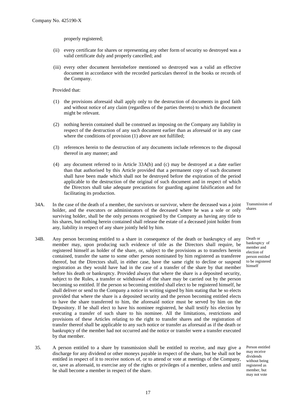properly registered;

- (ii) every certificate for shares or representing any other form of security so destroyed was a valid certificate duly and properly cancelled; and
- (iii) every other document hereinbefore mentioned so destroyed was a valid an effective document in accordance with the recorded particulars thereof in the books or records of the Company.

Provided that:

- (1) the provisions aforesaid shall apply only to the destruction of documents in good faith and without notice of any claim (regardless of the parties thereto) to which the document might be relevant.
- (2) nothing herein contained shall be construed as imposing on the Company any liability in respect of the destruction of any such document earlier than as aforesaid or in any case where the conditions of provision (1) above are not fulfilled;
- (3) references herein to the destruction of any documents include references to the disposal thereof in any manner; and
- (4) any document referred to in Article 33A(b) and (c) may be destroyed at a date earlier than that authorised by this Article provided that a permanent copy of such document shall have been made which shall not be destroyed before the expiration of the period applicable to the destruction of the original of such document and in respect of which the Directors shall take adequate precautions for guarding against falsification and for facilitating its production.
- 34A. In the case of the death of a member, the survivors or survivor, where the deceased was a joint holder, and the executors or administrators of the deceased where he was a sole or only surviving holder, shall be the only persons recognised by the Company as having any title to his shares, but nothing herein contained shall release the estate of a deceased joint holder from any, liability in respect of any share jointly held by him.
- 34B. Any person becoming entitled to a share in consequence of the death or bankruptcy of any member may, upon producing such evidence of title as the Directors shall require, be registered himself as holder of the share, or, subject to the provisions as to transfers herein contained, transfer the same to some other person nominated by him registered as transferee thereof, but the Directors shall, in either case, have the same right to decline or suspend registration as they would have had in the case of a transfer of the share by that member before his death or bankruptcy. Provided always that where the share is a deposited security, subject to the Rules, a transfer or withdrawal of the share may be carried out by the person becoming so entitled. If the person so becoming entitled shall elect to be registered himself, he shall deliver or send to the Company a notice in writing signed by him stating that he so elects provided that where the share is a deposited security and the person becoming entitled elects to have the share transferred to him, the aforesaid notice must be served by him on the Depository. If he shall elect to have his nominee registered, he shall testify his election by executing a transfer of such share to his nominee. All the limitations, restrictions and provisions of these Articles relating to the right to transfer shares and the registration of transfer thereof shall be applicable to any such notice or transfer as aforesaid as if the death or bankruptcy of the member had not occurred and the notice or transfer were a transfer executed by that member.
- 35. A person entitled to a share by transmission shall be entitled to receive, and may give a discharge for any dividend or other moneys payable in respect of the share, but he shall not be entitled in respect of it to receive notices of, or to attend or vote at meetings of the Company, or, save as aforesaid, to exercise any of the rights or privileges of a member, unless and until he shall become a member in respect of the share.

Transmission of shares

Death or bankruptcy of member and election of person entitled to be registered himself

Person entitled may receive dividends without being registered as member, but may not vote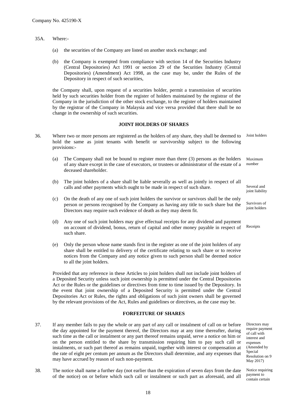- 35A. Where:-
	- (a) the securities of the Company are listed on another stock exchange; and
	- (b) the Company is exempted from compliance with section 14 of the Securities Industry (Central Depositories) Act 1991 or section 29 of the Securities Industry (Central Depositories) (Amendment) Act 1998, as the case may be, under the Rules of the Depository in respect of such securities,

the Company shall, upon request of a securities holder, permit a transmission of securities held by such securities holder from the register of holders maintained by the registrar of the Company in the jurisdiction of the other stock exchange, to the register of holders maintained by the registrar of the Company in Malaysia and vice versa provided that there shall be no change in the ownership of such securities.

#### **JOINT HOLDERS OF SHARES**

- 36. Where two or more persons are registered as the holders of any share, they shall be deemed to hold the same as joint tenants with benefit or survivorship subject to the following provisions:- Joint holders
	- (a) The Company shall not be bound to register more than three (3) persons as the holders of any share except in the case of executors, or trustees or administrator of the estate of a deceased shareholder. Maximum number
	- (b) The joint holders of a share shall be liable severally as well as jointly in respect of all calls and other payments which ought to be made in respect of such share.
	- (c) On the death of any one of such joint holders the survivor or survivors shall be the only person or persons recognised by the Company as having any title to such share but the Directors may require such evidence of death as they may deem fit.
	- (d) Any one of such joint holders may give effectual receipts for any dividend and payment on account of dividend, bonus, return of capital and other money payable in respect of such share.
	- (e) Only the person whose name stands first in the register as one of the joint holders of any share shall be entitled to delivery of the certificate relating to such share or to receive notices from the Company and any notice given to such person shall be deemed notice to all the joint holders.

Provided that any reference in these Articles to joint holders shall not include joint holders of a Deposited Security unless such joint ownership is permitted under the Central Depositories Act or the Rules or the guidelines or directives from time to time issued by the Depository. In the event that joint ownership of a Deposited Security is permitted under the Central Depositories Act or Rules, the rights and obligations of such joint owners shall be governed by the relevant provisions of the Act, Rules and guidelines or directives, as the case may be.

## **FORFEITURE OF SHARES**

37. If any member fails to pay the whole or any part of any call or instalment of call on or before the day appointed for the payment thereof, the Directors may at any time thereafter, during such time as the call or instalment or any part thereof remains unpaid, serve a notice on him or on the person entitled to the share by transmission requiring him to pay such call or instalments, or such part thereof as remains unpaid, together with interest or compensation at the rate of eight per centum per annum as the Directors shall determine, and any expenses that may have accrued by reason of such non-payment.

Directors may require payment of call with interest and expenses (Amended by Special Resolution on 9 May 2017)

38. The notice shall name a further day (not earlier than the expiration of seven days from the date of the notice) on or before which such call or instalment or such part as aforesaid, and all

Several and

joint liability

Survivors of joint holders

Receipts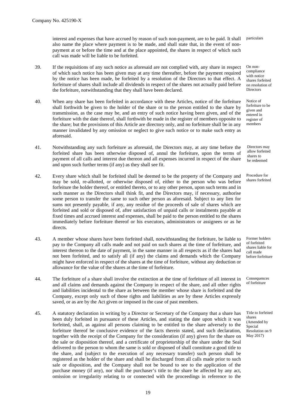interest and expenses that have accrued by reason of such non-payment, are to be paid. It shall also name the place where payment is to be made, and shall state that, in the event of nonpayment at or before the time and at the place appointed, the shares in respect of which such call was made will be liable to be forfeited.

- 39. If the requisitions of any such notice as aforesaid are not complied with, any share in respect of which such notice has been given may at any time thereafter, before the payment required by the notice has been made, be forfeited by a resolution of the Directors to that effect. A forfeiture of shares shall include all dividends in respect of the shares not actually paid before the forfeiture, notwithstanding that they shall have been declared.
- 40. When any share has been forfeited in accordance with these Articles, notice of the forfeiture shall forthwith be given to the holder of the share or to the person entitled to the share by transmission, as the case may be, and an entry of such notice having been given, and of the forfeiture with the date thereof, shall forthwith be made in the register of members opposite to the share; but the provisions of this Article are directory only, and no forfeiture shall be in any manner invalidated by any omission or neglect to give such notice or to make such entry as aforesaid.
- 41. Notwithstanding any such forfeiture as aforesaid, the Directors may, at any time before the forfeited share has been otherwise disposed of, annul the forfeiture, upon the terms of payment of all calls and interest due thereon and all expenses incurred in respect of the share and upon such further terms (if any) as they shall see fit.
- 42. Every share which shall be forfeited shall be deemed to be the property of the Company and may be sold, re-allotted, or otherwise disposed of, either to the person who was before forfeiture the holder thereof, or entitled thereto, or to any other person, upon such terms and in such manner as the Directors shall think fit, and the Directors may, if necessary, authorise some person to transfer the same to such other person as aforesaid. Subject to any lien for sums not presently payable, if any, any residue of the proceeds of sale of shares which are forfeited and sold or disposed of, after satisfaction of unpaid calls or instalments payable at fixed times and accrued interest and expenses, shall be paid to the person entitled to the shares immediately before forfeiture thereof or his executors, administrators or assignees or as he directs.
- 43. A member whose shares have been forfeited shall, notwithstanding the forfeiture, be liable to pay to the Company all calls made and not paid on such shares at the time of forfeiture, and interest thereon to the date of payment, in the same manner in all respects as if the shares had not been forfeited, and to satisfy all (if any) the claims and demands which the Company might have enforced in respect of the shares at the time of forfeiture, without any deduction or allowance for the value of the shares at the time of forfeiture.
- 44. The forfeiture of a share shall involve the extinction at the time of forfeiture of all interest in and all claims and demands against the Company in respect of the share, and all other rights and liabilities incidental to the share as between the member whose share is forfeited and the Company, except only such of those rights and liabilities as are by these Articles expressly saved, or as are by the Act given or imposed in the case of past members.
- 45. A statutory declaration in writing by a Director or Secretary of the Company that a share has been duly forfeited in pursuance of these Articles, and stating the date upon which it was forfeited, shall, as against all persons claiming to be entitled to the share adversely to the forfeiture thereof be conclusive evidence of the facts therein stated, and such declaration, together with the receipt of the Company for the consideration (if any) given for the share on the sale or disposition thereof, and a certificate of proprietorship of the share under the Seal delivered to the person to whom the same is sold or disposed of shall constitute a good title to the share, and (subject to the execution of any necessary transfer) such person shall be registered as the holder of the share and shall be discharged from all calls made prior to such sale or disposition, and the Company shall not be bound to see to the application of the purchase money (if any), nor shall the purchaser's title to the share be affected by any act, omission or irregularity relating to or connected with the proceedings in reference to the

particulars

On noncompliance with notice shares forfeited on resolution of Directors

Notice of forfeiture to be given and entered in register of members

Directors may allow forfeited shares to be redeemed

Procedure for shares forfeited

Former holders of forfeited shares liable for call made before forfeiture

**Consequences** of forfeiture

Title to forfeited shares (Amended by Special Resolution on 9 May 2017)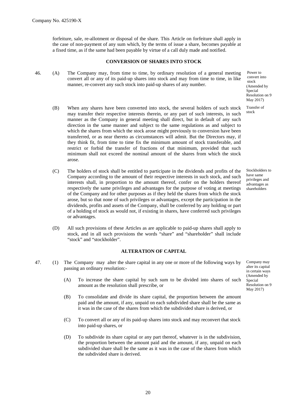forfeiture, sale, re-allotment or disposal of the share. This Article on forfeiture shall apply in the case of non-payment of any sum which, by the terms of issue a share, becomes payable at a fixed time, as if the same had been payable by virtue of a call duly made and notified.

### **CONVERSION OF SHARES INTO STOCK**

46. (A) The Company may, from time to time, by ordinary resolution of a general meeting convert all or any of its paid-up shares into stock and may from time to time, in like manner, re-convert any such stock into paid-up shares of any number.

convert into stock (Amended by Special Resolution on 9 May 2017)

Power to

Transfer of stock

Stockholders to have same privileges and advantages as shareholders

Company may alter its capital in certain ways (Amended by Special Resolution on 9 May 2017)

manner as the Company in general meeting shall direct, but in default of any such direction in the same manner and subject to the same regulations as and subject to which the shares from which the stock arose might previously to conversion have been transferred, or as near thereto as circumstances will admit. But the Directors may, if they think fit, from time to time fix the minimum amount of stock transferable, and restrict or forbid the transfer of fractions of that minimum, provided that such minimum shall not exceed the nominal amount of the shares from which the stock arose.

(B) When any shares have been converted into stock, the several holders of such stock may transfer their respective interests therein, or any part of such interests, in such

- (C) The holders of stock shall be entitled to participate in the dividends and profits of the Company according to the amount of their respective interests in such stock, and such interests shall, in proportion to the amount thereof, confer on the holders thereof respectively the same privileges and advantages for the purpose of voting at meetings of the Company and for other purposes as if they held the shares from which the stock arose, but so that none of such privileges or advantages, except the participation in the dividends, profits and assets of the Company, shall be conferred by any holding or part of a holding of stock as would not, if existing in shares, have conferred such privileges or advantages.
- (D) All such provisions of these Articles as are applicable to paid-up shares shall apply to stock, and in all such provisions the words "share" and "shareholder" shall include "stock" and "stockholder".

## **ALTERATION OF CAPITAL**

- 47. (1) The Company may alter the share capital in any one or more of the following ways by passing an ordinary resolution:-
	- (A) To increase the share capital by such sum to be divided into shares of such amount as the resolution shall prescribe, or
	- (B) To consolidate and divide its share capital, the proportion between the amount paid and the amount, if any, unpaid on each subdivided share shall be the same as it was in the case of the shares from which the subdivided share is derived, or
	- (C) To convert all or any of its paid-up shares into stock and may reconvert that stock into paid-up shares, or
	- (D) To subdivide its share capital or any part thereof, whatever is in the subdivision, the proportion between the amount paid and the amount, if any, unpaid on each subdivided share shall be the same as it was in the case of the shares from which the subdivided share is derived.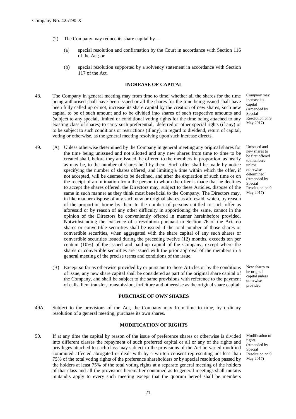- (2) The Company may reduce its share capital by—
	- (a) special resolution and confirmation by the Court in accordance with Section 116 of the Act; or
	- (b) special resolution supported by a solvency statement in accordance with Section 117 of the Act.

## **INCREASE OF CAPITAL**

- 48. The Company in general meeting may from time to time, whether all the shares for the time being authorised shall have been issued or all the shares for the time being issued shall have been fully called up or not, increase its share capital by the creation of new shares, such new capital to be of such amount and to be divided into shares of such respective amounts and (subject to any special, limited or conditional voting rights for the time being attached to any existing class of shares) to carry such preferential, deferred or other special rights (if any) or to be subject to such conditions or restrictions (if any), in regard to dividend, return of capital, voting or otherwise, as the general meeting resolving upon such increase directs.
- Company may increase its capital (Amended by **Special** Resolution on 9 May 2017)
- 49. (A) Unless otherwise determined by the Company in general meeting any original shares for the time being unissued and not allotted and any new shares from time to time to be created shall, before they are issued, be offered to the members in proportion, as nearly as may be, to the number of shares held by them. Such offer shall be made by notice specifying the number of shares offered, and limiting a time within which the offer, if not accepted, will be deemed to be declined, and after the expiration of such time or on the receipt of an intimation from the person to whom the offer is made that he declines to accept the shares offered, the Directors may, subject to these Articles, dispose of the same in such manner as they think most beneficial to the Company. The Directors may, in like manner dispose of any such new or original shares as aforesaid, which, by reason of the proportion borne by them to the number of persons entitled to such offer as aforesaid or by reason of any other difficulty in apportioning the same, cannot in the opinion of the Directors be conveniently offered in manner hereinbefore provided. Notwithstanding the existence of a resolution pursuant to Section 76 of the Act, no shares or convertible securities shall be issued if the total number of those shares or convertible securities, when aggregated with the share capital of any such shares or convertible securities issued during the preceding twelve (12) months, exceeds ten per centum (10%) of the issued and paid-up capital of the Company, except where the shares or convertible securities are issued with the prior approval of the members in a general meeting of the precise terms and conditions of the issue. Unissued and new shares to be first offered to members unless otherwise determined (Amended by Special Resolution on 9 May 2017)
	- (B) Except so far as otherwise provided by or pursuant to these Articles or by the conditions of issue, any new share capital shall be considered as part of the original share capital of the Company, and shall be subject to the same provisions with reference to the payment of calls, lien, transfer, transmission, forfeiture and otherwise as the original share capital.

## **PURCHASE OF OWN SHARES**

49A. Subject to the provisions of the Act, the Company may from time to time, by ordinary resolution of a general meeting, purchase its own shares.

## **MODIFICATION OF RIGHTS**

50. If at any time the capital by reason of the issue of preference shares or otherwise is divided into different classes the repayment of such preferred capital or all or any of the rights and privileges attached to each class may subject to the provisions of the Act be varied modified commuted affected abrogated or dealt with by a written consent representing not less than 75% of the total voting rights of the preference shareholders or by special resolution passed by the holders at least 75% of the total voting rights at a separate general meeting of the holders of that class and all the provisions hereinafter contained as to general meetings shall mutatis mutandis apply to every such meeting except that the quorum hereof shall be members

New shares to be original capital unless otherwise provided

Modification of rights (Amended by Special Resolution on 9 May 2017)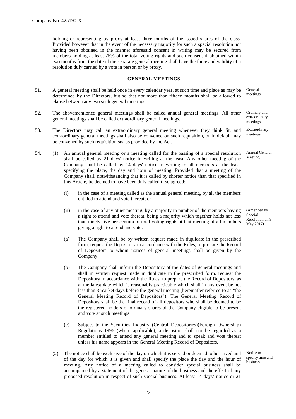holding or representing by proxy at least three-fourths of the issued shares of the class. Provided however that in the event of the necessary majority for such a special resolution not having been obtained in the manner aforesaid consent in writing may be secured from members holding at least 75% of the total voting rights and such consent if obtained within two months from the date of the separate general meeting shall have the force and validity of a resolution duly carried by a vote in person or by proxy.

#### **GENERAL MEETINGS**

- 51. A general meeting shall be held once in every calendar year, at such time and place as may be determined by the Directors, but so that not more than fifteen months shall be allowed to elapse between any two such general meetings.
- 52. The abovementioned general meetings shall be called annual general meetings. All other general meetings shall be called extraordinary general meetings.
- 53. The Directors may call an extraordinary general meeting whenever they think fit, and extraordinary general meetings shall also be convened on such requisition, or in default may be convened by such requisitionists, as provided by the Act.
- 54. (1) An annual general meeting or a meeting called for the passing of a special resolution shall be called by 21 days' notice in writing at the least. Any other meeting of the Company shall be called by 14 days' notice in writing to all members at the least, specifying the place, the day and hour of meeting. Provided that a meeting of the Company shall, notwithstanding that it is called by shorter notice than that specified in this Article, be deemed to have been duly called if so agreed:-
	- (i) in the case of a meeting called as the annual general meeting, by all the members entitled to attend and vote thereat; or
	- (ii) in the case of any other meeting, by a majority in number of the members having a right to attend and vote thereat, being a majority which together holds not less than ninety-five per centum of total voting rights at that meeting of all members giving a right to attend and vote.
	- (a) The Company shall be by written request made in duplicate in the prescribed form, request the Depository in accordance with the Rules, to prepare the Record of Depositors to whom notices of general meetings shall be given by the Company.
	- (b) The Company shall inform the Depository of the dates of general meetings and shall in written request made in duplicate in the prescribed form, request the Depository in accordance with the Rules, to prepare the Record of Depositors, as at the latest date which is reasonably practicable which shall in any event be not less than 3 market days before the general meeting (hereinafter referred to as "the General Meeting Record of Depositors"). The General Meeting Record of Depositors shall be the final record of all depositors who shall be deemed to be the registered holders of ordinary shares of the Company eligible to be present and vote at such meetings.
	- (c) Subject to the Securities Industry (Central Depositories)(Foreign Ownership) Regulations 1996 (where applicable), a depositor shall not be regarded as a member entitled to attend any general meeting and to speak and vote thereat unless his name appears in the General Meeting Record of Depositors.
	- (2) The notice shall be exclusive of the day on which it is served or deemed to be served and of the day for which it is given and shall specify the place the day and the hour of meeting. Any notice of a meeting called to consider special business shall be accompanied by a statement of the general nature of the business and the effect of any proposed resolution in respect of such special business. At least 14 days' notice or 21

Notice to specify time and business

General meetings

Ordinary and

extraordinary meetings

Extraordinary meetings

Annual General Meeting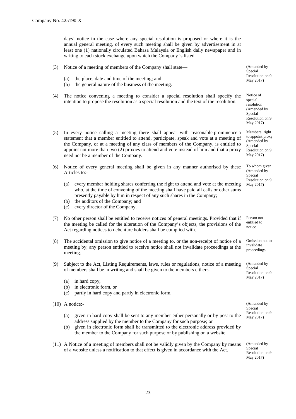days' notice in the case where any special resolution is proposed or where it is the annual general meeting, of every such meeting shall be given by advertisement in at least one (1) nationally circulated Bahasa Malaysia or English daily newspaper and in writing to each stock exchange upon which the Company is listed.

| (3) | (a)               | Notice of a meeting of members of the Company shall state—<br>the place, date and time of the meeting; and                                                                                                                                                                                                                                                                                              | (Amended by<br>Special<br>Resolution on 9                                                    |
|-----|-------------------|---------------------------------------------------------------------------------------------------------------------------------------------------------------------------------------------------------------------------------------------------------------------------------------------------------------------------------------------------------------------------------------------------------|----------------------------------------------------------------------------------------------|
|     | (b)               | the general nature of the business of the meeting.                                                                                                                                                                                                                                                                                                                                                      | May 2017)                                                                                    |
| (4) |                   | The notice convening a meeting to consider a special resolution shall specify the<br>intention to propose the resolution as a special resolution and the text of the resolution.                                                                                                                                                                                                                        | Notice of<br>special<br>resolution<br>(Amended by<br>Special<br>Resolution on 9<br>May 2017) |
| (5) |                   | In every notice calling a meeting there shall appear with reasonable prominence a<br>statement that a member entitled to attend, participate, speak and vote at a meeting of<br>the Company, or at a meeting of any class of members of the Company, is entitled to<br>appoint not more than two (2) proxies to attend and vote instead of him and that a proxy<br>need not be a member of the Company. | Members' right<br>to appoint proxy<br>(Amended by<br>Special<br>Resolution on 9<br>May 2017) |
| (6) |                   | Notice of every general meeting shall be given in any manner authorised by these<br>Articles to:-                                                                                                                                                                                                                                                                                                       | To whom given<br>(Amended by<br>Special                                                      |
|     | (a)<br>(b)<br>(c) | every member holding shares conferring the right to attend and vote at the meeting<br>who, at the time of convening of the meeting shall have paid all calls or other sums<br>presently payable by him in respect of any such shares in the Company;<br>the auditors of the Company; and<br>every director of the Company.                                                                              | Resolution on 9<br>May 2017)                                                                 |
| (7) |                   | No other person shall be entitled to receive notices of general meetings. Provided that if<br>the meeting be called for the alteration of the Company's objects, the provisions of the<br>Act regarding notices to debenture holders shall be complied with.                                                                                                                                            | Person not<br>entitled to<br>notice                                                          |
| (8) | meeting.          | The accidental omission to give notice of a meeting to, or the non-receipt of notice of a<br>meeting by, any person entitled to receive notice shall not invalidate proceedings at the                                                                                                                                                                                                                  | Omission not to<br>invalidate<br>proceedings                                                 |
| (9) |                   | Subject to the Act, Listing Requirements, laws, rules or regulations, notice of a meeting<br>of members shall be in writing and shall be given to the members either:-                                                                                                                                                                                                                                  | (Amended by<br>Special<br>Resolution on 9<br>May 2017)                                       |
|     | (b)               | (a) in hard copy,<br>in electronic form, or                                                                                                                                                                                                                                                                                                                                                             |                                                                                              |
|     | (c)               | partly in hard copy and partly in electronic form.                                                                                                                                                                                                                                                                                                                                                      |                                                                                              |
|     |                   | $(10)$ A notice:-                                                                                                                                                                                                                                                                                                                                                                                       | (Amended by<br>Special                                                                       |
|     | (a)<br>(b)        | given in hard copy shall be sent to any member either personally or by post to the<br>address supplied by the member to the Company for such purpose; or<br>given in electronic form shall be transmitted to the electronic address provided by<br>the member to the Company for such purpose or by publishing on a website.                                                                            | Resolution on 9<br>May 2017)                                                                 |
|     |                   | (11) A Notice of a meeting of members shall not be validly given by the Company by means<br>of a website unless a notification to that effect is given in accordance with the Act.                                                                                                                                                                                                                      | (Amended by<br>Special<br>Resolution on 9<br>May 2017)                                       |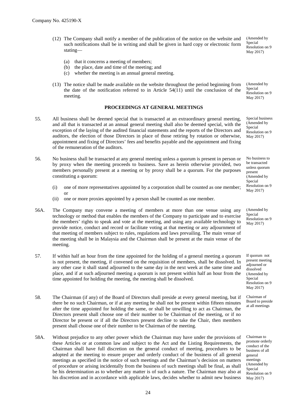- (12) The Company shall notify a member of the publication of the notice on the website and such notifications shall be in writing and shall be given in hard copy or electronic form stating—
	- (a) that it concerns a meeting of members;
	- (b) the place, date and time of the meeting; and
	- (c) whether the meeting is an annual general meeting.
- (13) The notice shall be made available on the website throughout the period beginning from the date of the notification referred to in Article  $54(11)$  until the conclusion of the meeting.

## **PROCEEDINGS AT GENERAL MEETINGS**

- 55. All business shall be deemed special that is transacted at an extraordinary general meeting, and all that is transacted at an annual general meeting shall also be deemed special, with the exception of the laying of the audited financial statements and the reports of the Directors and auditors, the election of those Directors in place of those retiring by rotation or otherwise, appointment and fixing of Directors' fees and benefits payable and the appointment and fixing of the remuneration of the auditors.
- 56. No business shall be transacted at any general meeting unless a quorum is present in person or by proxy when the meeting proceeds to business. Save as herein otherwise provided, two members personally present at a meeting or by proxy shall be a quorum. For the purposes constituting a quorum:
	- (i) one of more representatives appointed by a corporation shall be counted as one member; or
	- (ii) one or more proxies appointed by a person shall be counted as one member.
- 56A. The Company may convene a meeting of members at more than one venue using any technology or method that enables the members of the Company to participate and to exercise the members' rights to speak and vote at the meeting, and using any available technology to provide notice, conduct and record or facilitate voting at that meeting or any adjournment of that meeting of members subject to rules, regulations and laws prevailing. The main venue of the meeting shall be in Malaysia and the Chairman shall be present at the main venue of the meeting.
- 57. If within half an hour from the time appointed for the holding of a general meeting a quorum is not present, the meeting, if convened on the requisition of members, shall be dissolved. In any other case it shall stand adjourned to the same day in the next week at the same time and place, and if at such adjourned meeting a quorum is not present within half an hour from the time appointed for holding the meeting, the meeting shall be dissolved.
- 58. The Chairman (if any) of the Board of Directors shall preside at every general meeting, but if there be no such Chairman, or if at any meeting he shall not be present within fifteen minutes after the time appointed for holding the same, or shall be unwilling to act as Chairman, the Directors present shall choose one of their number to be Chairman of the meeting, or if no Director be present or if all the Directors present decline to take the Chair, then members present shall choose one of their number to be Chairman of the meeting.
- 58A. Without prejudice to any other power which the Chairman may have under the provisions of these Articles or at common law and subject to the Act and the Listing Requirements, the Chairman shall have full discretion on the general conduct of meeting, procedures to be adopted at the meeting to ensure proper and orderly conduct of the business of all general meetings as specified in the notice of such meetings and the Chairman's decision on matters of procedure or arising incidentally from the business of such meetings shall be final, as shall be his determination as to whether any matter is of such a nature. The Chairman may also at his discretion and in accordance with applicable laws, decides whether to admit new business

(Amended by Special Resolution on 9 May 2017)

(Amended by Special Resolution on 9 May 2017)

Special business (Amended by Special Resolution on 9 May 2017)

No business to be transacted unless quorum present (Amended by Special Resolution on 9 May 2017)

(Amended by Special Resolution on 9 May 2017)

If quorum not present meeting adjourned or dissolved (Amended by Special Resolution on 9 May 2017)

Chairman of Board to preside at all meetings

Chairman to promote orderly conduct of the business of all general meetings (Amended by Special Resolution on 9 May 2017)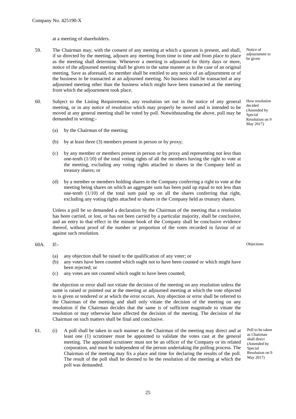at a meeting of shareholders.

- 59. The Chairman may, with the consent of any meeting at which a quorum is present, and shall, if so directed by the meeting, adjourn any meeting from time to time and from place to place as the meeting shall determine. Whenever a meeting is adjourned for thirty days or more, notice of the adjourned meeting shall be given in the same manner as in the case of an original meeting. Save as aforesaid, no member shall be entitled to any notice of an adjournment or of the business to be transacted at an adjourned meeting. No business shall be transacted at any adjourned meeting other than the business which might have been transacted at the meeting from which the adjournment took place.
- 60. Subject to the Listing Requirements, any resolution set out in the notice of any general meeting, or in any notice of resolution which may properly be moved and is intended to be moved at any general meeting shall be voted by poll. Notwithstanding the above, poll may be demanded in writing:-
	- (a) by the Chairman of the meeting;
	- (b) by at least three (3) members present in person or by proxy;
	- (c) by any member or members present in person or by proxy and representing not less than one-tenth (1/10) of the total voting rights of all the members having the right to vote at the meeting, excluding any voting rights attached to shares in the Company held as treasury shares; or
	- (d) by a member or members holding shares in the Company conferring a right to vote at the meeting being shares on which an aggregate sum has been paid up equal to not less than one-tenth (1/10) of the total sum paid up on all the shares conferring that right, excluding any voting rights attached to shares in the Company held as treasury shares.

Unless a poll be so demanded a declaration by the Chairman of the meeting that a resolution has been carried, or lost, or has not been carried by a particular majority, shall be conclusive, and an entry to that effect in the minute book of the Company shall be conclusive evidence thereof, without proof of the number or proportion of the votes recorded in favour of or against such resolution.

60A. If:-

Objections

- (a) any objection shall be raised to the qualification of any voter; or
- (b) any votes have been counted which ought not to have been counted or which might have been rejected; or
- (c) any votes are not counted which ought to have been counted;

the objection or error shall not vitiate the decision of the meeting on any resolution unless the same is raised or pointed out at the meeting or adjourned meeting at which the vote objected to is given or tendered or at which the error occurs. Any objection or error shall be referred to the Chairman of the meeting and shall only vitiate the decision of the meeting on any resolution if the Chairman decides that the same is of sufficient magnitude to vitiate the resolution or may otherwise have affected the decision of the meeting. The decision of the Chairman on such matters shall be final and conclusive.

61. (i) A poll shall be taken in such manner as the Chairman of the meeting may direct and at least one (1) scrutineer must be appointed to validate the votes cast at the general meeting. The appointed scrutineer must not be an officer of the Company or its related corporation, and must be independent of the person undertaking the polling process. The Chairman of the meeting may fix a place and time for declaring the results of the poll. The result of the poll shall be deemed to be the resolution of the meeting at which the poll was demanded.

Poll to be taken as Chairman shall direct (Amended by Special Resolution on 9 May 2017)

How resolution decided (Amended by Special Resolution on 9 May 2017)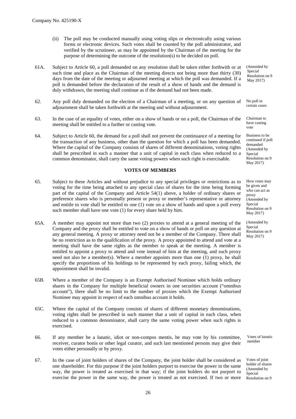- (ii) The poll may be conducted manually using voting slips or electronically using various forms or electronic devices. Such votes shall be counted by the poll administrator, and verified by the scrutineer, as may be appointed by the Chairman of the meeting for the purpose of determining the outcome of the resolution(s) to be decided on poll.
- 61A. Subject to Article 60, a poll demanded on any resolution shall be taken either forthwith or at such time and place as the Chairman of the meeting directs not being more than thirty (30) days from the date of the meeting or adjourned meeting at which the poll was demanded. If a poll is demanded before the declaration of the result of a show of hands and the demand is duly withdrawn, the meeting shall continue as if the demand had not been made.
- 62. Any poll duly demanded on the election of a Chairman of a meeting, or on any question of adjournment shall be taken forthwith at the meeting and without adjournment.
- 63. In the case of an equality of votes, either on a show of hands or on a poll, the Chairman of the meeting shall be entitled to a further or casting vote.
- 64. Subject to Article 60, the demand for a poll shall not prevent the continuance of a meeting for the transaction of any business, other than the question for which a poll has been demanded. Where the capital of the Company consists of shares of different denominations, voting rights shall be prescribed in such a manner that a unit of capital in each class when reduced to a common denominator, shall carry the same voting powers when such right is exercisable.

#### **VOTES OF MEMBERS**

- 65. Subject to these Articles and without prejudice to any special privileges or restrictions as to voting for the time being attached to any special class of shares for the time being forming part of the capital of the Company and Article 54(1) above, a holder of ordinary shares or preference shares who is personally present or proxy or member's representative or attorney and entitle to vote shall be entitled to one (1) vote on a show of hands and upon a poll every such member shall have one vote (1) for every share held by him.
- 65A. A member may appoint not more than two (2) proxies to attend at a general meeting of the Company and the proxy shall be entitled to vote on a show of hands or poll on any question at any general meeting. A proxy or attorney need not be a member of the Company. There shall be no restriction as to the qualification of the proxy. A proxy appointed to attend and vote at a meeting shall have the same rights as the member to speak at the meeting. A member is entitled to appoint a proxy to attend and vote instead of him at the meeting, and such proxy need not also be a member(s). Where a member appoints more than one (1) proxy, he shall specify the proportions of his holdings to be represented by each proxy, failing which, the appointment shall be invalid.
- 65B. Where a member of the Company is an Exempt Authorised Nominee which holds ordinary shares in the Company for multiple beneficial owners in one securities account ("omnibus account"), there shall be no limit to the number of proxies which the Exempt Authorised Nominee may appoint in respect of each omnibus account it holds.
- 65C. Where the capital of the Company consists of shares of different monetary denominations, voting rights shall be prescribed in such manner that a unit of capital in each class, when reduced to a common denominator, shall carry the same voting power when such rights is exercised.
- 66. If any member be a lunatic, idiot or non-compos mentis, he may vote by his committee, receiver, curator bonis or other legal curator, and such last mentioned persons may give their votes either personally or by proxy.
- 67. In the case of joint holders of shares of the Company, the joint holder shall be considered as one shareholder. For this purpose if the joint holders purport to exercise the power in the same way, the power is treated as exercised in that way; if the joint holders do not purport to exercise the power in the same way, the power is treated as not exercised. If two or more

(Amended by Special Resolution on 9 May 2017)

No poll in certain cases

Chairman to have casting vote

Business to be continued if poll demanded (Amended by Special Resolution on 9 May 2017)

How votes may be given and who can act as proxy (Amended by Special Resolution on 9 May 2017)

(Amended by Special Resolution on 9 May 2017)

Votes of lunatic member

Votes of joint holder of shares (Amended by **Special** Resolution on 9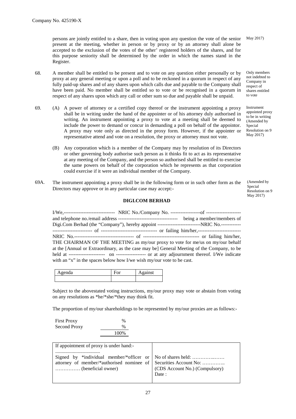persons are jointly entitled to a share, then in voting upon any question the vote of the senior present at the meeting, whether in person or by proxy or by an attorney shall alone be accepted to the exclusion of the votes of the other' registered holders of the shares, and for this purpose seniority shall be determined by the order in which the names stand in the Register.

- 68. A member shall be entitled to be present and to vote on any question either personally or by proxy at any general meeting or upon a poll and to be reckoned in a quorum in respect of any fully paid-up shares and of any shares upon which calls due and payable to the Company shall have been paid. No member shall be entitled so to vote or be recognised in a quorum in respect of any shares upon which any call or other sum so due and payable shall be unpaid.
- 69. (A) A power of attorney or a certified copy thereof or the instrument appointing a proxy shall be in writing under the hand of the appointer or of his attorney duly authorised in writing. An instrument appointing a proxy to vote at a meeting shall be deemed to include the power to demand or concur in demanding a poll on behalf of the appointor. A proxy may vote only as directed in the proxy form. However, if the appointer or representative attend and vote on a resolution, the proxy or attorney must not vote.
	- (B) Any corporation which is a member of the Company may by resolution of its Directors or other governing body authorise such person as it thinks fit to act as its representative at any meeting of the Company, and the person so authorised shall be entitled to exercise the same powers on behalf of the corporation which he represents as that corporation could exercise if it were an individual member of the Company.
- 69A. The instrument appointing a proxy shall be in the following form or in such other form as the Directors may approve or in any particular case may accept:-

## **DIGI.COM BERHAD**

I/We,------------------------------- NRIC No./Company No. ------------------of -------------------- and telephone no./email address ------------------------------------ being a member/members of Digi.Com Berhad (the "Company"), hereby appoint --------------------------NRIC No.------------ ------------------------ of ---------------------------------- or failing him/her,-------------------------- NRIC No.------------------------------------ of ---------------------------------- or failing him/her, THE CHAIRMAN OF THE MEETING as my/our proxy to vote for me/us on my/our behalf at the [Annual or Extraordinary, as the case may be] General Meeting of the Company, to be held at ---------------------- on ------------------ or at any adjournment thereof. I/We indicate with an "x" in the spaces below how I/we wish my/our vote to be cast.

| 1a | vı | $\sim$ inst |  |
|----|----|-------------|--|
|    |    |             |  |

Subject to the abovestated voting instructions, my/our proxy may vote or abstain from voting on any resolutions as \*he/\*she/\*they may think fit.

The proportion of my/our shareholdings to be represented by my/our proxies are as follows:-

First Proxy  $\%$ Second Proxy  $\%$ 100%

| If appointment of proxy is under hand:-                                                                                                                         |                                         |
|-----------------------------------------------------------------------------------------------------------------------------------------------------------------|-----------------------------------------|
| Signed by *individual member/*officer or $\vert$ No of shares held:<br>attorney of member/*authorised nominee of   Securities Account No:<br>(beneficial owner) | CDS Account No.) (Compulsory)<br>Date : |

May 2017)

Only members not indebted to Company in respect of shares entitled to vote

Instrument appointed proxy to be in writing (Amended by Special Resolution on 9 May 2017)

(Amended by **Special** Resolution on 9 May 2017)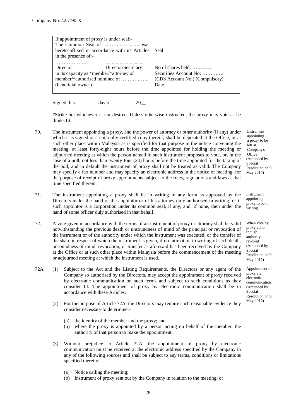| If appointment of proxy is under seal:-        |                    |                                           |
|------------------------------------------------|--------------------|-------------------------------------------|
|                                                |                    |                                           |
| hereto affixed in accordance with its Articles |                    | Seal                                      |
| in the presence of:-                           |                    |                                           |
|                                                |                    |                                           |
| Director                                       | Director/Secretary | No of shares held: $\dots\dots\dots\dots$ |
| in its capacity as *member/*attorney of        |                    | Securities Account No:                    |
| member/*authorised nominee of                  |                    | (CDS Account No.) (Compulsory)            |
| (beneficial owner)                             |                    | Date :                                    |
|                                                |                    |                                           |

Signed this day of  $, 20$ 

\*Strike out whichever is not desired. Unless otherwise instructed, the proxy may vote as he thinks fit.

- 70. The instrument appointing a proxy, and the power of attorney or other authority (if any) under which it is signed or a notarially certified copy thereof, shall be deposited at the Office, or at such other place within Malaysia as is specified for that purpose in the notice convening the meeting, at least forty-eight hours before the time appointed for holding the meeting or adjourned meeting at which the person named in such instrument proposes to vote, or, in the case of a poll, not less than twenty-four (24) hours before the time appointed for the taking of the poll, and in default the instrument of proxy shall not be treated as valid. The Company may specify a fax number and may specify an electronic address in the notice of meeting, for the purpose of receipt of proxy appointments subject to the rules, regulations and laws at that time specified therein.
- 71. The instrument appointing a proxy shall be in writing in any form as approved by the Directors under the hand of the appointor or of his attorney duly authorised in writing, or if such appointor is a corporation under its common seal, if any, and, if none, then under the hand of some officer duly authorised in that behalf.
- 72. A vote given in accordance with the terms of an instrument of proxy or attorney shall be valid notwithstanding the previous death or unsoundness of mind of the principal or revocation of the instrument or of the authority under which the instrument was executed, or the transfer of the share in respect of which the instrument is given, if no intimation in writing of such death, unsoundness of mind, revocation, or transfer as aforesaid has been received by the Company at the Office or at such other place within Malaysia before the commencement of the meeting or adjourned meeting at which the instrument is used.
- 72A. (1) Subject to the Act and the Listing Requirements, the Directors or any agent of the Company so authorised by the Directors, may accept the appointment of proxy received by electronic communication on such terms and subject to such conditions as they consider fit. The appointment of proxy by electronic communication shall be in accordance with these Articles.
	- (2) For the purpose of Article 72A, the Directors may require such reasonable evidence they consider necessary to determine:-
		- (a) the identity of the member and the proxy; and
		- (b) where the proxy is appointed by a person acting on behalf of the member, the authority of that person to make the appointment.
	- (3) Without prejudice to Article 72A, the appointment of proxy by electronic communication must be received at the electronic address specified by the Company in any of the following sources and shall be subject to any terms, conditions or limitations specified therein:-
		- (a) Notice calling the meeting;
		- (b) Instrument of proxy sent out by the Company in relation to the meeting; or

Instrument appointing a proxy to be left at Company's **Office** (Amended by Special Resolution on 9 May 2017)

Instrument appointing proxy to be in writing

When vote by proxy valid though authority revoked (Amended by Special Resolution on 9 May 2017)

Appointment of proxy via electronic communication (Amended by Special Resolution on 9 May 2017)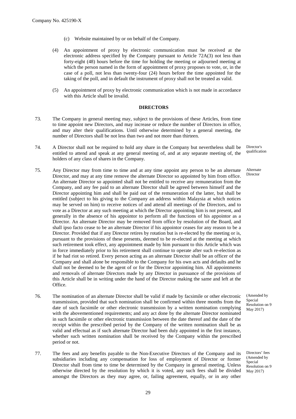- (c) Website maintained by or on behalf of the Company.
- (4) An appointment of proxy by electronic communication must be received at the electronic address specified by the Company pursuant to Article 72A(3) not less than forty-eight (48) hours before the time for holding the meeting or adjourned meeting at which the person named in the form of appointment of proxy proposes to vote, or, in the case of a poll, not less than twenty-four (24) hours before the time appointed for the taking of the poll, and in default the instrument of proxy shall not be treated as valid.
- (5) An appointment of proxy by electronic communication which is not made in accordance with this Article shall be invalid.

#### **DIRECTORS**

- 73. The Company in general meeting may, subject to the provisions of these Articles, from time to time appoint new Directors, and may increase or reduce the number of Directors in office, and may alter their qualifications. Until otherwise determined by a general meeting, the number of Directors shall be not less than two and not more than thirteen.
- 74. A Director shall not be required to hold any share in the Company but nevertheless shall be entitled to attend and speak at any general meeting of, and at any separate meeting of, the holders of any class of shares in the Company.
- 75. Any Director may from time to time and at any time appoint any person to be an alternate Director, and may at any time remove the alternate Director so appointed by him from office. An alternate Director so appointed shall not be entitled to receive any remuneration from the Company, and any fee paid to an alternate Director shall be agreed between himself and the Director appointing him and shall be paid out of the remuneration of the latter, but shall be entitled (subject to his giving to the Company an address within Malaysia at which notices may be served on him) to receive notices of and attend all meetings of the Directors, and to vote as a Director at any such meeting at which the Director appointing him is not present, and generally in the absence of his appointor to perform all the functions of his appointor as a Director. An alternate Director may be removed from office by resolution of the Board, and shall ipso facto cease to be an alternate Director if his appointor ceases for any reason to be a Director. Provided that if any Director retires by rotation but is re-elected by the meeting or is, pursuant to the provisions of these presents, deemed to be re-elected at the meeting at which such retirement took effect, any appointment made by him pursuant to this Article which was in force immediately prior to his retirement shall continue to operate after such re-election as if he had riot so retired. Every person acting as an alternate Director shall be an officer of the Company and shall alone be responsible to the Company for his own acts and defaults and he shall not be deemed to be the agent of or for the Director appointing him. All appointments and removals of alternate Directors made by any Director in pursuance of the provisions of this Article shall be in writing under the hand of the Director making the same and left at the Office.
- 76. The nomination of an alternate Director shall be valid if made by facsimile or other electronic transmission, provided that such nomination shall be confirmed within three months from the date of such facsimile or other electronic transmission by a written nomination complying with the abovementioned requirements; and any act done by the alternate Director nominated in such facsimile or other electronic transmission between the date thereof and the date of the receipt within the prescribed period by the Company of the written nomination shall be as valid and effectual as if such alternate Director had been duly appointed in the first instance, whether such written nomination shall be received by the Company within the prescribed period or not.
- 77. The fees and any benefits payable to the Non-Executive Directors of the Company and its subsidiaries including any compensation for loss of employment of Director or former Director shall from time to time be determined by the Company in general meeting. Unless otherwise directed by the resolution by which it is voted, any such fees shall be divided amongst the Directors as they may agree, or, failing agreement, equally, or in any other

Director's qualification

Alternate Director

(Amended by **Special** Resolution on 9 May 2017)

Directors' fees (Amended by Special Resolution on 9 May 2017)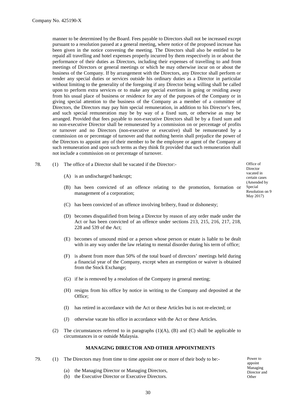manner to be determined by the Board. Fees payable to Directors shall not be increased except pursuant to a resolution passed at a general meeting, where notice of the proposed increase has been given in the notice convening the meeting. The Directors shall also be entitled to be repaid all travelling and hotel expenses properly incurred by them respectively in or about the performance of their duties as Directors, including their expenses of travelling to and from meetings of Directors or general meetings or which he may otherwise incur on or about the business of the Company. If by arrangement with the Directors, any Director shall perform or render any special duties or services outside his ordinary duties as a Director in particular without limiting to the generality of the foregoing if any Director being willing shall be called upon to perform extra services or to make any special exertions in going or residing away from his usual place of business or residence for any of the purposes of the Company or in giving special attention to the business of the Company as a member of a committee of Directors, the Directors may pay him special remuneration, in addition to his Director's fees, and such special remuneration may be by way of a fixed sum, or otherwise as may be arranged. Provided that fees payable to non-executive Directors shall be by a fixed sum and no non-executive Director shall be remunerated by a commission on or percentage of profits or turnover and no Directors (non-executive or executive) shall be remunerated by a commission on or percentage of turnover and that nothing herein shall prejudice the power of the Directors to appoint any of their member to be the employee or agent of the Company at such remuneration and upon such terms as they think fit provided that such remuneration shall not include a commission on or percentage of turnover.

- 78. (1) The office of a Director shall be vacated if the Director:-
	- (A) is an undischarged bankrupt;

Office of Director vacated in certain cases (Amended by Special Resolution on 9 May 2017)

- (B) has been convicted of an offence relating to the promotion, formation or management of a corporation;
- (C) has been convicted of an offence involving bribery, fraud or dishonesty;
- (D) becomes disqualified from being a Director by reason of any order made under the Act or has been convicted of an offence under sections 213, 215, 216, 217, 218, 228 and 539 of the Act;
- (E) becomes of unsound mind or a person whose person or estate is liable to be dealt with in any way under the law relating to mental disorder during his term of office;
- (F) is absent from more than 50% of the total board of directors' meetings held during a financial year of the Company, except when an exemption or waiver is obtained from the Stock Exchange;
- (G) if he is removed by a resolution of the Company in general meeting;
- (H) resigns from his office by notice in writing to the Company and deposited at the Office;
- (I) has retired in accordance with the Act or these Articles but is not re-elected; or
- (J) otherwise vacate his office in accordance with the Act or these Articles.
- (2) The circumstances referred to in paragraphs  $(1)(A)$ ,  $(B)$  and  $(C)$  shall be applicable to circumstances in or outside Malaysia.

#### **MANAGING DIRECTOR AND OTHER APPOINTMENTS**

- 79. (1) The Directors may from time to time appoint one or more of their body to be:-
	- (a) the Managing Director or Managing Directors,
	- (b) the Executive Director or Executive Directors.

Power to appoint Managing Director and **Other**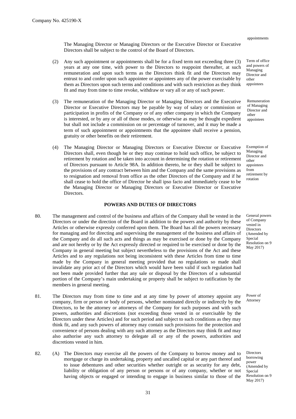appointments

The Managing Director or Managing Directors or the Executive Director or Executive Directors shall be subject to the control of the Board of Directors.

- (2) Any such appointment or appointments shall be for a fixed term not exceeding three (3) years at any one time, with power to the Directors to reappoint thereafter, at such remuneration and upon such terms as the Directors think fit and the Directors may entrust to and confer upon such appointee or appointees any of the power exercisable by them as Directors upon such terms and conditions and with such restriction as they think fit and may from time to time revoke, withdraw or vary all or any of such power.
- (3) The remuneration of the Managing Director or Managing Directors and the Executive Director or Executive Directors may be payable by way of salary or commission or participation in profits of the Company or of any other company in which the Company is interested, or by any or all of those modes, or otherwise as may be thought expedient but shall not include a commission on or percentage of turnover, and it may be made a term of such appointment or appointments that the appointee shall receive a pension, gratuity or other benefits on their retirement.
- (4) The Managing Director or Managing Directors or Executive Director or Executive Directors shall, even though he or they may continue to hold such office, be subject to retirement by rotation and be taken into account in determining the rotation or retirement of Directors pursuant to Article 98A. In addition thereto, he or they shall be subject to the provisions of any contract between him and the Company and the same provisions as to resignation and removal from office as the other Directors of the Company and if he shall cease to hold the office of Director he shall ipso facto and immediately cease to be the Managing Director or Managing Directors or Executive Director or Executive Directors.

## **POWERS AND DUTIES OF DIRECTORS**

- 80. The management and control of the business and affairs of the Company shall be vested in the Directors or under the direction of the Board in addition to the powers and authority by these Articles or otherwise expressly conferred upon them. The Board has all the powers necessary for managing and for directing and supervising the management of the business and affairs of the Company and do all such acts and things as may be exercised or done by the Company and are not hereby or by the Act expressly directed or required to be exercised or done by the Company in general meeting but subject nevertheless to the provisions of the Act and these Articles and to any regulations not being inconsistent with these Articles from time to time made by the Company in general meeting provided that no regulations so made shall invalidate any prior act of the Directors which would have been valid if such regulation had not been made provided further that any sale or disposal by the Directors of a substantial portion of the Company's main undertaking or property shall be subject to ratification by the members in general meeting.
- 81. The Directors may from time to time and at any time by power of attorney appoint any company, firm or person or body of persons, whether nominated directly or indirectly by the Directors, to be the attorney or attorneys of the Company for such purposes and with such powers, authorities and discretions (not exceeding those vested in or exercisable by the Directors under these Articles) and for such period and subject to such conditions as they may think fit, and any such powers of attorney may contain such provisions for the protection and convenience of persons dealing with any such attorney as the Directors may think fit and may also authorise any such attorney to delegate all or any of the powers, authorities and discretions vested in him.
- 82. (A) The Directors may exercise all the powers of the Company to borrow money and to mortgage or charge its undertaking, property and uncalled capital or any part thereof and to issue debentures and other securities whether outright or as security for any debt, liability or obligation of any person or persons or of any company, whether or not having objects or engaged or intending to engage in business similar to those of the

Term of office and powers of Managing Director and other appointees

Remuneration of Managing Director and other appointees

Exemption of Managing Director and other appointees from retirement by rotation

General powers of Company vested in Directors (Amended by Special Resolution on 9 May 2017)

Power of Attorney

**Directors** borrowing power (Amended by Special Resolution on 9 May 2017)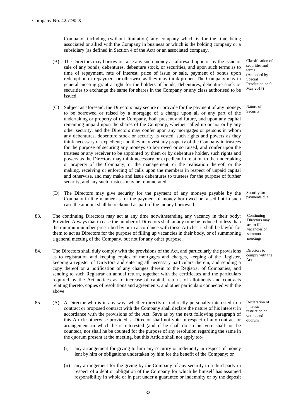Company, including (without limitation) any company which is for the time being associated or allied with the Company in business or which is the holding company or a subsidiary (as defined in Section 4 of the Act) or an associated company.

- (B) The Directors may borrow or raise any such money as aforesaid upon or by the issue or sale of any bonds, debentures, debenture stock, or securities, and upon such terms as to time of repayment, rate of interest, price of issue or sale, payment of bonus upon redemption or repayment or otherwise as they may think proper. The Company may in general meeting grant a right for the holders of bonds, debentures, debenture stock or securities to exchange the same for shares in the Company or any class authorised to be issued.
- (C) Subject as aforesaid, the Directors may secure or provide for the payment of any moneys to be borrowed or raised by a mortgage of a charge upon all or any part of the undertaking or property of the Company, both present and future, and upon any capital remaining unpaid upon the shares of the Company, whether called up or not or by any other security, and the Directors may confer upon any mortgages or persons in whom any debentures, debenture stock or security is vested, such rights and powers as they think necessary or expedient; and they may vest any property of the Company in trustees for the purpose of securing any moneys so borrowed or so raised, and confer upon the trustees or any receiver to be appointed by them or by debenture holder, such rights and powers as the Directors may think necessary or expedient in relation to the undertaking or property of the Company, or the management, or the realisation thereof, or the making, receiving or enforcing of calls upon the members in respect of unpaid capital and otherwise, and may make and issue debentures to trustees for the purpose of further security, and any such trustees may be remunerated.
- (D) The Directors may give security for the payment of any moneys payable by the Company in like manner as for the payment of money borrowed or raised but in such case the amount shall be reckoned as part of the money borrowed.
- 83. The continuing Directors may act at any time notwithstanding any vacancy in their body: Provided Always that in case the number of Directors shall at any time be reduced to less than the minimum number prescribed by or in accordance with these Articles, it shall be lawful for them to act as Directors for the purpose of filling up vacancies in their body, or of summoning a general meeting of the Company, but not for any other purpose.
- 84. The Directors shall duly comply with the provisions of the Act, and particularly the provisions as to registration and keeping copies of mortgages and charges, keeping of the Register, keeping a register of Directors and entering all necessary particulars therein, and sending a copy thereof or a notification of any changes therein to the Registrar of Companies, and sending to such Registrar an annual return, together with the certificates and the particulars required by the Act notices as to increase of capital, returns of allotments and contracts relating thereto, copies of resolutions and agreements, and other particulars connected with the above.
- 85. (A) A Director who is in any way, whether directly or indirectly personally interested in a contract or proposed contract with the Company shall declare the nature of his interest in accordance with the provisions of the Act. Save as by the next following paragraph of this Article otherwise provided, a Director shall not vote in respect of any contract or arrangement in which he is interested (and if he shall do so his vote shall not be counted), nor shall he be counted for the purpose of any resolution regarding the same in the quorum present at the meeting, but this Article shall not apply to:-
	- (i) any arrangement for giving to him any security or indemnity in respect of money lent by him or obligations undertaken by him for the benefit of the Company; or
	- (ii) any arrangement for the giving by the Company of any security to a third party in respect of a debt or obligation of the Company for which he himself has assumed responsibility in whole or in part under a guarantee or indemnity or by the deposit

Classification of securities and terms (Amended by Special Resolution on 9 May 2017)

Nature of Security

Security for payments due

Continuing Directors may act to fill vacancies or summon meetings

Directors to comply with the Act

Declaration of interest; restriction on voting and quorum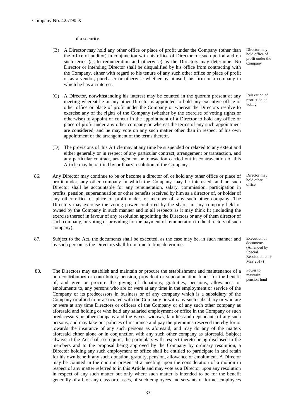#### of a security.

- (B) A Director may hold any other office or place of profit under the Company (other than the office of auditor) in conjunction with his office of Director for such period and on such terms (as to remuneration and otherwise) as the Directors may determine. No Director or intending Director shall be disqualified by his office from contracting with the Company, either with regard to his tenure of any such other office or place of profit or as a vendor, purchaser or otherwise whether by himself, his firm or a company in which he has an interest.
- (C) A Director, notwithstanding his interest may be counted in the quorum present at any meeting whereat he or any other Director is appointed to hold any executive office or other office or place of profit under the Company or whereat the Directors resolve to exercise any of the rights of the Company (whether by the exercise of voting rights or otherwise) to appoint or concur in the appointment of a Director to hold any office or place of profit under any other company or whereat the terms of any such appointment are considered, and he may vote on any such matter other than in respect of his own appointment or the arrangement of the terms thereof.
- (D) The provisions of this Article may at any time be suspended or relaxed to any extent and either generally or in respect of any particular contract, arrangement or transaction, and any particular contract, arrangement or transaction carried out in contravention of this Article may be ratified by ordinary resolution of the Company.
- 86. Any Director may continue to be or become a director of, or hold any other office or place of profit under, any other company in which the Company may be interested, and no such Director shall be accountable for any remuneration, salary, commission, participation in profits, pension, superannuation or other benefits received by him as a director of, or holder of any other office or place of profit under, or member of, any such other company. The Directors may exercise the voting power conferred by the shares in any company held or owned by the Company in such manner and in all respects as it may think fit (including the exercise thereof in favour of any resolution appointing the Directors or any of them director of such company, or voting or providing for the payment of remuneration to the directors of such company).
- 87. Subject to the Act, the documents shall be executed, as the case may be, in such manner and by such person as the Directors shall from time to time determine.
- 88. The Directors may establish and maintain or procure the establishment and maintenance of a non-contributory or contributory pension, provident or superannuation funds for the benefit of, and give or procure the giving of donations, gratuities, pensions, allowances or emoluments to, any persons who are or were at any time in the employment or service of the Company or its predecessors in business or of any company which is a subsidiary of the Company or allied to or associated with the Company or with any such subsidiary or who are or were at any time Directors or officers of the Company or of any such other company as aforesaid and holding or who held any salaried employment or office in the Company or such predecessors or other company and the wives, widows, families and dependants of any such persons, and may take out policies of insurance and pay the premiums reserved thereby for or towards the insurance of any such persons as aforesaid, and may do any of the matters aforesaid either alone or in conjunction with any such other company as aforesaid. Subject always, if the Act shall so require, the particulars with respect thereto being disclosed to the members and to the proposal being approved by the Company by ordinary resolution, a Director holding any such employment or office shall be entitled to participate in and retain for his own benefit any such donation, gratuity, pension, allowance or emolument. A Director may be counted in the quorum present at a meeting upon the consideration of a motion in respect of any matter referred to in this Article and may vote as a Director upon any resolution in respect of any such matter but only where such matter is intended to be for the benefit generally of all, or any class or classes, of such employees and servants or former employees

Director may hold office of profit under the Company

Relaxation of restriction on voting

Director may hold other office

Execution of documents (Amended by Special Resolution on 9 May 2017)

Power to maintain pension fund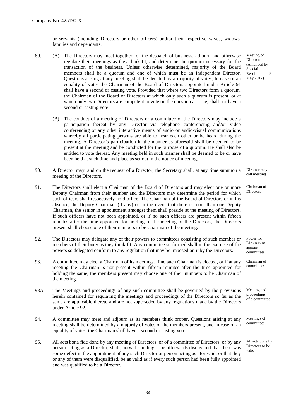or servants (including Directors or other officers) and/or their respective wives, widows, families and dependants.

- 89. (A) The Directors may meet together for the despatch of business, adjourn and otherwise regulate their meetings as they think fit, and determine the quorum necessary for the transaction of the business. Unless otherwise determined, majority of the Board members shall be a quorum and one of which must be an Independent Director. Questions arising at any meeting shall be decided by a majority of votes, In case of an equality of votes the Chairman of the Board of Directors appointed under Article 91 shall have a second or casting vote. Provided that where two Directors form a quorum, the Chairman of the Board of Directors at which only such a quorum is present, or at which only two Directors are competent to vote on the question at issue, shall not have a second or casting vote.
	- (B) The conduct of a meeting of Directors or a committee of the Directors may include a participation thereat by any Director via telephone conferencing and/or video conferencing or any other interactive means of audio or audio-visual communications whereby all participating persons are able to hear each other or be heard during the meeting. A Director's participation in the manner as aforesaid shall be deemed to be present at the meeting and be conducted for the purpose of a quorum. He shall also be entitled to vote thereat. Any meeting held in such manner shall be deemed to be or have been held at such time and place as set out in the notice of meeting.
- 90. A Director may, and on the request of a Director, the Secretary shall, at any time summon a meeting of the Directors.
- 91. The Directors shall elect a Chairman of the Board of Directors and may elect one or more Deputy Chairman from their number and the Directors may determine the period for which such officers shall respectively hold office. The Chairman of the Board of Directors or in his absence, the Deputy Chairman (if any) or in the event that there is more than one Deputy Chairman, the senior in appointment amongst them shall preside at the meeting of Directors. If such officers have not been appointed, or if no such officers are present within fifteen minutes after the time appointed for holding of the meeting of the Directors, the Directors present shall choose one of their numbers to be Chairman of the meeting.
- 92. The Directors may delegate any of their powers to committees consisting of such member or members of their body as they think fit. Any committee so formed shall in the exercise of the powers so delegated conform to any regulation that may be imposed on it by the Directors.
- 93. A committee may elect a Chairman of its meetings. If no such Chairman is elected, or if at any meeting the Chairman is not present within fifteen minutes after the time appointed for holding the same, the members present may choose one of their numbers to be Chairman of the meeting.
- 93A. The Meetings and proceedings of any such committee shall be governed by the provisions herein contained for regulating the meetings and proceedings of the Directors so far as the same are applicable thereto and are not superseded by any regulations made by the Directors under Article 92.
- 94. A committee may meet and adjourn as its members think proper. Questions arising at any meeting shall be determined by a majority of votes of the members present, and in case of an equality of votes, the Chairman shall have a second or casting vote.
- 95. All acts bona fide done by any meeting of Directors, or of a committee of Directors, or by any person acting as a Director, shall, notwithstanding it be afterwards discovered that there was some defect in the appointment of any such Director or person acting as aforesaid, or that they or any of them were disqualified, be as valid as if every such person had been fully appointed and was qualified to be a Director.

Meeting of **Directors** (Amended by Special Resolution on 9 May 2017)

Director may call meeting

Chairman of **Directors** 

Power for Directors to appoint committees

Chairman of committees

Meeting and proceedings of a committee

Meetings of committees

All acts done by Directors to be valid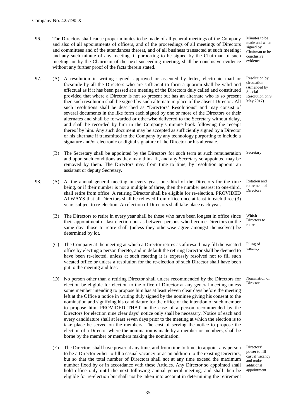96. The Directors shall cause proper minutes to be made of all general meetings of the Company and also of all appointments of officers, and of the proceedings of all meetings of Directors and committees and of the attendances thereat, and of all business transacted at such meeting; and any such minute of any meeting, if purporting to be signed by the Chairman of such meeting, or by the Chairman of the next succeeding meeting, shall be conclusive evidence without any further proof of the facts therein stated.

Minutes to be made and when signed by Chairman to be conclusive evidence

- 97. (A) A resolution in writing signed, approved or assented by letter, electronic mail or facsimile by all the Directors who are sufficient to form a quorum shall be valid and effectual as if it has been passed at a meeting of the Directors duly called and constituted provided that where a Director is not so present but has an alternate who is so present then such resolution shall be signed by such alternate in place of the absent Director. All such resolutions shall be described as "Directors' Resolutions" and may consist of several documents in the like form each signed by one or more of the Directors or their alternates and shall be forwarded or otherwise delivered to the Secretary without delay, and shall be recorded by him in the Company's minute book following the receipt thereof by him. Any such document may be accepted as sufficiently signed by a Director or his alternate if transmitted to the Company by any technology purporting to include a signature and/or electronic or digital signature of the Director or his alternate.
	- (B) The Secretary shall be appointed by the Directors for such term at such remuneration and upon such conditions as they may think fit, and any Secretary so appointed may be removed by them. The Directors may from time to time, by resolution appoint an assistant or deputy Secretary. Secretary
- 98. (A) At the annual general meeting in every year, one-third of the Directors for the time being, or if their number is not a multiple of three, then the number nearest to one-third, shall retire from office. A retiring Director shall be eligible for re-election. PROVIDED ALWAYS that all Directors shall be relieved from office once at least in each three (3) years subject to re-election. An election of Directors shall take place each year.
	- (B) The Directors to retire in every year shall be those who have been longest in office since their appointment or last election but as between persons who become Directors on the same day, those to retire shall (unless they otherwise agree amongst themselves) be determined by lot.
	- (C) The Company at the meeting at which a Director retires as aforesaid may fill the vacated office by electing a person thereto, and in default the retiring Director shall be deemed to have been re-elected, unless at such meeting it is expressly resolved not to fill such vacated office or unless a resolution for the re-election of such Director shall have been put to the meeting and lost.
	- (D) No person other than a retiring Director shall unless recommended by the Directors for election be eligible for election to the office of Director at any general meeting unless some member intending to propose him has at least eleven clear days before the meeting left at the Office a notice in writing duly signed by the nominee giving his consent to the nomination and signifying his candidature for the office or the intention of such member to propose him. PROVIDED THAT in the case of a person recommended by the Directors for election nine clear days' notice only shall be necessary. Notice of each and every candidature shall at least seven days prior to the meeting at which the election is to take place be served on the members. The cost of serving the notice to propose the election of a Director where the nomination is made by a member or members, shall be borne by the member or members making the nomination.
	- (E) The Directors shall have power at any time, and from time to time, to appoint any person to be a Director either to fill a casual vacancy or as an addition to the existing Directors, but so that the total number of Directors shall not at any time exceed the maximum number fixed by or in accordance with these Articles. Any Director so appointed shall hold office only until the next following annual general meeting, and shall then be eligible for re-election but shall not be taken into account in determining the retirement

Resolution by circulation (Amended by **Special** Resolution on 9

May 2017)

Rotation and retirement of **Directors** 

Which Directors to retire

Filing of vacancy

Nomination of Director

Directors' power to fill casual vacancy and make additional appointment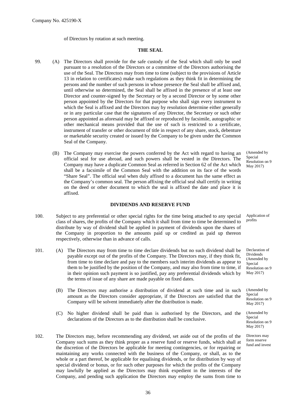of Directors by rotation at such meeting.

#### **THE SEAL**

- 99. (A) The Directors shall provide for the safe custody of the Seal which shall only be used pursuant to a resolution of the Directors or a committee of the Directors authorising the use of the Seal. The Directors may from time to time (subject to the provisions of Article 13 in relation to certificates) make such regulations as they think fit in determining the persons and the number of such persons in whose presence the Seal shall be affixed and, until otherwise so determined, the Seal shall be affixed in the presence of at least one Director and counter-signed by the Secretary or by a second Director or by some other person appointed by the Directors for that purpose who shall sign every instrument to which the Seal is affixed and the Directors may by resolution determine either generally or in any particular case that the signatures of any Director, the Secretary or such other person appointed as aforesaid may be affixed or reproduced by facsimile, autographic or other mechanical means provided that the use of such is restricted to a certificate, instrument of transfer or other document of title in respect of any share, stock, debenture or marketable security created or issued by the Company to be given under the Common Seal of the Company.
	- (B) The Company may exercise the powers conferred by the Act with regard to having an official seal for use abroad, and such powers shall be vested in the Directors. The Company may have a duplicate Common Seal as referred in Section 62 of the Act which shall be a facsimile of the Common Seal with the addition on its face of the words "Share Seal". The official seal when duly affixed to a document has the same effect as the Company's common seal. The person affixing the official seal shall certify in writing on the deed or other document to which the seal is affixed the date and place it is affixed.

#### **DIVIDENDS AND RESERVE FUND**

- 100. Subject to any preferential or other special rights for the time being attached to any special class of shares, the profits of the Company which it shall from time to time be determined to distribute by way of dividend shall be applied in payment of dividends upon the shares of the Company in proportion to the amounts paid up or credited as paid up thereon respectively, otherwise than in advance of calls. Application of profits
- 101. (A) The Directors may from time to time declare dividends but no such dividend shall be payable except out of the profits of the Company. The Directors may, if they think fit, from time to time declare and pay to the members such interim dividends as appear to them to be justified by the position of the Company, and may also from time to time, if in their opinion such payment is so justified, pay any preferential dividends which by the terms of issue of any share are made payable on fixed dates.
	- (B) The Directors may authorise a distribution of dividend at such time and in such amount as the Directors consider appropriate, if the Directors are satisfied that the Company will be solvent immediately after the distribution is made.
	- (C) No higher dividend shall be paid than is authorised by the Directors, and the declarations of the Directors as to the distribution shall be conclusive.
- 102. The Directors may, before recommending any dividend, set aside out of the profits of the Company such sums as they think proper as a reserve fund or reserve funds, which shall at the discretion of the Directors be applicable for meeting contingencies, or for repairing or maintaining any works connected with the business of the Company, or shall, as to the whole or a part thereof, be applicable for equalising dividends, or for distribution by way of special dividend or bonus, or for such other purposes for which the profits of the Company may lawfully be applied as the Directors may think expedient in the interests of the Company, and pending such application the Directors may employ the sums from time to

(Amended by **Special** Resolution on 9 May 2017)

Declaration of Dividends (Amended by Special Resolution on 9 May 2017)

(Amended by Special Resolution on 9 May 2017)

(Amended by Special Resolution on 9 May 2017)

Directors may form reserve fund and invest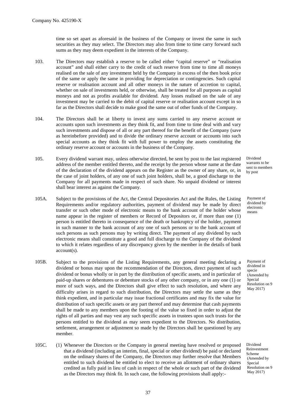time so set apart as aforesaid in the business of the Company or invest the same in such securities as they may select. The Directors may also from time to time carry forward such sums as they may deem expedient in the interests of the Company.

- 103. The Directors may establish a reserve to be called either "capital reserve" or "realisation account" and shall either carry to the credit of such reserve from time to time all moneys realised on the sale of any investment held by the Company in excess of the then book price of the same or apply the same in providing for depreciation or contingencies. Such capital reserve or realisation account and all other moneys in the nature of accretion to capital, whether on sale of investments held, or otherwise, shall be treated for all purposes as capital moneys and not as profits available for dividend. Any losses realised on the sale of any investment may be carried to the debit of capital reserve or realisation account except in so far as the Directors shall decide to make good the same out of other funds of the Company.
- 104. The Directors shall be at liberty to invest any sums carried to any reserve account or accounts upon such investments as they think fit, and from time to time deal with and vary such investments and dispose of all or any part thereof for the benefit of the Company (save as hereinbefore provided) and to divide the ordinary reserve account or accounts into such special accounts as they think fit with full power to employ the assets constituting the ordinary reserve account or accounts in the business of the Company.
- 105. Every dividend warrant may, unless otherwise directed, be sent by post to the last registered address of the member entitled thereto, and the receipt by the person whose name at the date of the declaration of the dividend appears on the Register as the owner of any share, or, in the case of joint holders, of any one of such joint holders, shall be, a good discharge to the Company for all payments made in respect of such share. No unpaid dividend or interest shall bear interest as against the Company.
- 105A. Subject to the provisions of the Act, the Central Depositories Act and the Rules, the Listing Requirements and/or regulatory authorities, payment of dividend may be made by direct transfer or such other mode of electronic means to the bank account of the holder whose name appear in the register of members or Record of Depositors or, if more than one (1) person is entitled thereto in consequence of the death or bankruptcy of the holder, payment in such manner to the bank account of any one of such persons or to the bank account of such persons as such persons may by writing direct. The payment of any dividend by such electronic means shall constitute a good and full discharge to the Company of the dividend to which it relates regardless of any discrepancy given by the member in the details of bank account(s).
- 105B. Subject to the provisions of the Listing Requirements, any general meeting declaring a dividend or bonus may upon the recommendation of the Directors, direct payment of such dividend or bonus wholly or in part by the distribution of specific assets, and in particular of paid-up shares or debentures or debenture stocks of any other company, or in any one (1) or more of such ways, and the Directors shall give effect to such resolution, and where any difficulty arises in regard to such distribution, the Directors may settle the same as they think expedient, and in particular may issue fractional certificates and may fix the value for distribution of such specific assets or any part thereof and may determine that cash payments shall be made to any members upon the footing of the value so fixed in order to adjust the rights of all parties and may vest any such specific assets in trustees upon such trusts for the persons entitled to the dividend as may seem expedient to the Directors. No distribution, settlement, arrangement or adjustment so made by the Directors shall be questioned by any member.
- 105C. (1) Whenever the Directors or the Company in general meeting have resolved or proposed that a dividend (including an interim, final, special or other dividend) be paid or declared on the ordinary shares of the Company, the Directors may further resolve that Members entitled to such dividend be entitled to elect to receive an allotment of ordinary shares credited as fully paid in lieu of cash in respect of the whole or such part of the dividend as the Directors may think fit. In such case, the following provisions shall apply:-

Dividend warrants to be sent to members by post

Payment of dividend by electronic means

Payment of dividend in specie (Amended by Special Resolution on 9 May 2017)

Dividend Reinvestment Scheme (Amended by Special Resolution on 9 May 2017)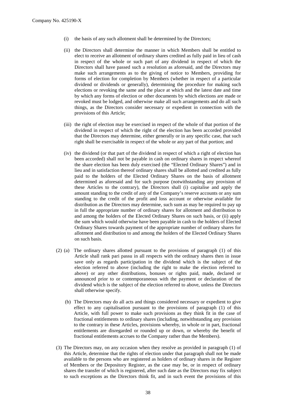- (i) the basis of any such allotment shall be determined by the Directors;
- (ii) the Directors shall determine the manner in which Members shall be entitled to elect to receive an allotment of ordinary shares credited as fully paid in lieu of cash in respect of the whole or such part of any dividend in respect of which the Directors shall have passed such a resolution as aforesaid, and the Directors may make such arrangements as to the giving of notice to Members, providing for forms of election for completion by Members (whether in respect of a particular dividend or dividends or generally), determining the procedure for making such elections or revoking the same and the place at which and the latest date and time by which any forms of election or other documents by which elections are made or revoked must be lodged, and otherwise make all such arrangements and do all such things, as the Directors consider necessary or expedient in connection with the provisions of this Article;
- (iii) the right of election may be exercised in respect of the whole of that portion of the dividend in respect of which the right of the election has been accorded provided that the Directors may determine, either generally or in any specific case, that such right shall be exercisable in respect of the whole or any part of that portion; and
- (iv) the dividend (or that part of the dividend in respect of which a right of election has been accorded) shall not be payable in cash on ordinary shares in respect whereof the share election has been duly exercised (the "Elected Ordinary Shares") and in lieu and in satisfaction thereof ordinary shares shall be allotted and credited as fully paid to the holders of the Elected Ordinary Shares on the basis of allotment determined as aforesaid and for such purpose (notwithstanding any provision of these Articles to the contrary), the Directors shall (i) capitalise and apply the amount standing to the credit of any of the Company's reserve accounts or any sum standing to the credit of the profit and loss account or otherwise available for distribution as the Directors may determine, such sum as may be required to pay up in full the appropriate number of ordinary shares for allotment and distribution to and among the holders of the Elected Ordinary Shares on such basis, or (ii) apply the sum which would otherwise have been payable in cash to the holders of Elected Ordinary Shares towards payment of the appropriate number of ordinary shares for allotment and distribution to and among the holders of the Elected Ordinary Shares on such basis.
- (2) (a) The ordinary shares allotted pursuant to the provisions of paragraph (1) of this Article shall rank pari passu in all respects with the ordinary shares then in issue save only as regards participation in the dividend which is the subject of the election referred to above (including the right to make the election referred to above) or any other distributions, bonuses or rights paid, made, declared or announced prior to or contemporaneous with the payment or declaration of the dividend which is the subject of the election referred to above, unless the Directors shall otherwise specify.
	- (b) The Directors may do all acts and things considered necessary or expedient to give effect to any capitalisation pursuant to the provisions of paragraph (1) of this Article, with full power to make such provisions as they think fit in the case of fractional entitlements to ordinary shares (including, notwithstanding any provision to the contrary in these Articles, provisions whereby, in whole or in part, fractional entitlements are disregarded or rounded up or down, or whereby the benefit of fractional entitlements accrues to the Company rather than the Members).
- (3) The Directors may, on any occasion when they resolve as provided in paragraph (1) of this Article, determine that the rights of election under that paragraph shall not be made available to the persons who are registered as holders of ordinary shares in the Register of Members or the Depository Register, as the case may be, or in respect of ordinary shares the transfer of which is registered, after such date as the Directors may fix subject to such exceptions as the Directors think fit, and in such event the provisions of this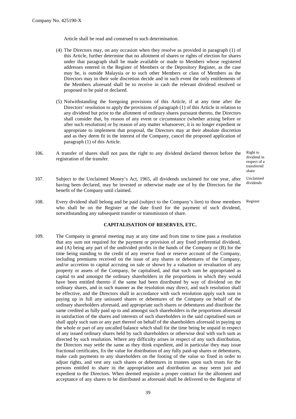Article shall be read and construed to such determination.

- (4) The Directors may, on any occasion when they resolve as provided in paragraph (1) of this Article, further determine that no allotment of shares or rights of election for shares under that paragraph shall be made available or made to Members whose registered addresses entered in the Register of Members or the Depository Register, as the case may be, is outside Malaysia or to such other Members or class of Members as the Directors may in their sole discretion decide and in such event the only entitlements of the Members aforesaid shall be to receive in cash the relevant dividend resolved or proposed to be paid or declared.
- (5) Notwithstanding the foregoing provisions of this Article, if at any time after the Directors' resolution to apply the provisions of paragraph (1) of this Article in relation to any dividend but prior to the allotment of ordinary shares pursuant thereto, the Directors shall consider that, by reason of any event or circumstance (whether arising before or after such resolution) or by reason of any matter whatsoever, it is no longer expedient or appropriate to implement that proposal, the Directors may at their absolute discretion and as they deem fit in the interest of the Company, cancel the proposed application of paragraph (1) of this Article.
- 106. A transfer of shares shall not pass the right to any dividend declared thereon before the registration of the transfer.

Right to dividend in respect of a transferred share

- 107. Subject to the Unclaimed Money's Act, 1965, all dividends unclaimed for one year, after having been declared, may be invested or otherwise made use of by the Directors for the benefit of the Company until claimed. Unclaimed dividends
- 108. Every dividend shall belong and be paid (subject to the Company's lien) to those members who shall be on the Register at the date fixed for the payment of such dividend, notwithstanding any subsequent transfer or transmission of share. Register

#### **CAPITALISATION OF RESERVES, ETC.**

109. The Company in general meeting may at any time and from time to time pass a resolution that any sum not required for the payment or provision of any fixed preferential dividend, and (A) being any part of the undivided profits in the hands of the Company or (B) for the time being standing to the credit of any reserve fund or reserve account of the Company, including premiums received on the issue of any shares or debentures of the Company, and/or accretion to capital accruing on sale or shown by a valuation or revaluation of any property or assets of the Company, be capitalised, and that such sum be appropriated as capital to and amongst the ordinary shareholders in the proportions in which they would have been entitled thereto if the same had been distributed by way of dividend on the ordinary shares, and in such manner as the resolution may direct, and such resolution shall be effective, and the Directors shall in accordance with such resolution apply such sum in paying up in full any unissued shares or debentures of the Company on behalf of the ordinary shareholders aforesaid, and appropriate such shares or debentures and distribute the same credited as fully paid up to and amongst such shareholders in the proportions aforesaid in satisfaction of the shares and interests of such shareholders in the said capitalised sum or shall apply such sum or any part thereof on behalf of the shareholders aforesaid in paying up the whole or part of any uncalled balance which shall for the time being be unpaid in respect of any issued ordinary shares held by such shareholders or otherwise deal with such sum as directed by such resolution. Where any difficulty arises in respect of any such distribution, the Directors may settle the same as they think expedient, and in particular they may issue fractional certificates, fix the value for distribution of any fully paid-up shares or debentures, make cash payments to any shareholders on the footing of the value so fixed in order to adjust rights, and vest any such shares or debentures in trustees upon such trusts for the persons entitled to share in the appropriation and distribution as may seem just and expedient to the Directors. When deemed requisite a proper contract for the allotment and acceptance of any shares to be distributed as aforesaid shall be delivered to the Registrar of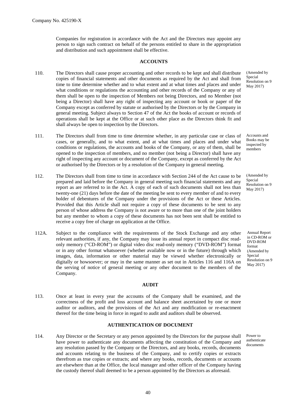Companies for registration in accordance with the Act and the Directors may appoint any person to sign such contract on behalf of the persons entitled to share in the appropriation and distribution and such appointment shall be effective.

#### **ACCOUNTS**

- 110. The Directors shall cause proper accounting and other records to be kept and shall distribute copies of financial statements and other documents as required by the Act and shall from time to time determine whether and to what extent and at what times and places and under what conditions or regulations the accounting and other records of the Company or any of them shall be open to the inspection of Members not being Directors, and no Member (not being a Director) shall have any right of inspecting any account or book or paper of the Company except as conferred by statute or authorised by the Directors or by the Company in general meeting. Subject always to Section 47 of the Act the books of account or records of operations shall be kept at the Office or at such other place as the Directors think fit and shall always be open to inspection by the Directors.
- 111. The Directors shall from time to time determine whether, in any particular case or class of cases, or generally, and to what extent, and at what times and places and under what conditions or regulations, the accounts and books of the Company, or any of them, shall be opened to the inspection of members, and no member (not being a Director) shall have any right of inspecting any account or document of the Company, except as conferred by the Act or authorised by the Directors or by a resolution of the Company in general meeting.
- 112. The Directors shall from time to time in accordance with Section 244 of the Act cause to be prepared and laid before the Company in general meeting such financial statements and any report as are referred to in the Act. A copy of each of such documents shall not less than twenty-one (21) days before the date of the meeting be sent to every member of and to every holder of debentures of the Company under the provisions of the Act or these Articles. Provided that this Article shall not require a copy of these documents to be sent to any person of whose address the Company is not aware or to more than one of the joint holders but any member to whom a copy of these documents has not been sent shall be entitled to receive a copy free of charge on application at the Office.
- 112A. Subject to the compliance with the requirements of the Stock Exchange and any other relevant authorities, if any, the Company may issue its annual report in compact disc readonly memory ("CD-ROM") or digital video disc read-only memory ("DVD-ROM") format or in any other format whatsoever (whether available now or in the future) through which images, data, information or other material may be viewed whether electronically or digitally or howsoever; or may in the same manner as set out in Articles 116 and 116A on the serving of notice of general meeting or any other document to the members of the Company.

#### **AUDIT**

113. Once at least in every year the accounts of the Company shall be examined, and the correctness of the profit and loss account and balance sheet ascertained by one or more auditor or auditors, and the provisions of the Act and any modification or re-enactment thereof for the time being in force in regard to audit and auditors shall be observed.

## **AUTHENTICATION OF DOCUMENT**

114. Any Director or the Secretary or any person appointed by the Directors for the purpose shall have power to authenticate any documents affecting the constitution of the Company and any resolution passed by the Company or the Directors, and any books, records, documents and accounts relating to the business of the Company, and to certify copies or extracts therefrom as true copies or extracts; and where any books, records, documents or accounts are elsewhere than at the Office, the local manager and other officer of the Company having the custody thereof shall deemed to be a person appointed by the Directors as aforesaid.

(Amended by **Special** Resolution on 9 May 2017)

Accounts and Books may be inspected by members

(Amended by Special Resolution on 9 May 2017)

Annual Report in CD-ROM or DVD-ROM format (Amended by **Special** Resolution on 9 May 2017)

Power to authenticate documents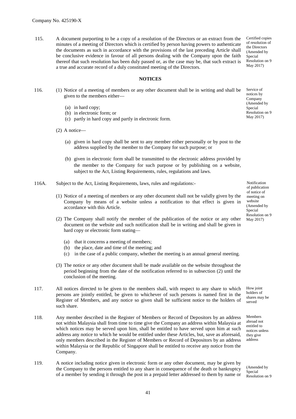115. A document purporting to be a copy of a resolution of the Directors or an extract from the minutes of a meeting of Directors which is certified by person having powers to authenticate the documents as such in accordance with the provisions of the last preceding Article shall be conclusive evidence in favour of all persons dealing with the Company upon the faith thereof that such resolution has been duly passed or, as the case may be, that such extract is a true and accurate record of a duly constituted meeting of the Directors.

Certified copies of resolution of the Directors (Amended by Special Resolution on 9 May 2017)

## **NOTICES**

- 116. (1) Notice of a meeting of members or any other document shall be in writing and shall be given to the members either—
	- (a) in hard copy;
	- (b) in electronic form; or
	- (c) partly in hard copy and partly in electronic form.
	- (2) A notice—
		- (a) given in hard copy shall be sent to any member either personally or by post to the address supplied by the member to the Company for such purpose; or
		- (b) given in electronic form shall be transmitted to the electronic address provided by the member to the Company for such purpose or by publishing on a website, subject to the Act, Listing Requirements, rules, regulations and laws.
- 116A. Subject to the Act, Listing Requirements, laws, rules and regulations:-
	- (1) Notice of a meeting of members or any other document shall not be validly given by the Company by means of a website unless a notification to that effect is given in accordance with this Article.
	- (2) The Company shall notify the member of the publication of the notice or any other document on the website and such notification shall be in writing and shall be given in hard copy or electronic form stating—
		- (a) that it concerns a meeting of members;
		- (b) the place, date and time of the meeting; and
		- (c) in the case of a public company, whether the meeting is an annual general meeting.
	- (3) The notice or any other document shall be made available on the website throughout the period beginning from the date of the notification referred to in subsection (2) until the conclusion of the meeting.
- 117. All notices directed to be given to the members shall, with respect to any share to which persons are jointly entitled, be given to whichever of such persons is named first in the Register of Members, and any notice so given shall be sufficient notice to the holders of such share.
- 118. Any member described in the Register of Members or Record of Depositors by an address not within Malaysia shall from time to time give the Company an address within Malaysia at which notices may be served upon him, shall be entitled to have served upon him at such address any notice to which he would be entitled under these Articles, but, save as aforesaid, only members described in the Register of Members or Record of Depositors by an address within Malaysia or the Republic of Singapore shall be entitled to receive any notice from the Company.
- 119. A notice including notice given in electronic form or any other document, may be given by the Company to the persons entitled to any share in consequence of the death or bankruptcy of a member by sending it through the post in a prepaid letter addressed to them by name or

Notification of publication of notice of meeting on website (Amended by Special Resolution on 9 May 2017)

How joint holders of shares may be

served

Members abroad not entitled to notices unless they give address

(Amended by Special Resolution on 9

Service of notices by Company (Amended by Special Resolution on 9 May 2017)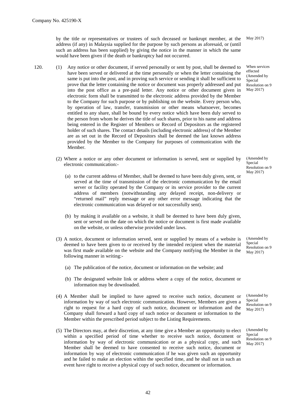by the title or representatives or trustees of such deceased or bankrupt member, at the address (if any) in Malaysia supplied for the purpose by such persons as aforesaid, or (until such an address has been supplied) by giving the notice in the manner in which the same would have been given if the death or bankruptcy had not occurred.

- 120. (1) Any notice or other document, if served personally or sent by post, shall be deemed to have been served or delivered at the time personally or when the letter containing the same is put into the post, and in proving such service or sending it shall be sufficient to prove that the letter containing the notice or document was properly addressed and put into the post office as a pre-paid letter. Any notice or other document given in electronic form shall be transmitted to the electronic address provided by the Member to the Company for such purpose or by publishing on the website. Every person who, by operation of law, transfer, transmission or other means whatsoever, becomes entitled to any share, shall be bound by every notice which have been duly served to the person from whom he derives the title of such shares, prior to his name and address being entered in the Register of Members or Record of Depositors as the registered holder of such shares. The contact details (including electronic address) of the Member are as set out in the Record of Depositors shall be deemed the last known address provided by the Member to the Company for purposes of communication with the Member.
	- (2) Where a notice or any other document or information is served, sent or supplied by electronic communication:-
		- (a) to the current address of Member, shall be deemed to have been duly given, sent, or served at the time of transmission of the electronic communication by the email server or facility operated by the Company or its service provider to the current address of members (notwithstanding any delayed receipt, non-delivery or "returned mail" reply message or any other error message indicating that the electronic communication was delayed or not successfully sent).
		- (b) by making it available on a website, it shall be deemed to have been duly given, sent or served on the date on which the notice or document is first made available on the website, or unless otherwise provided under laws.
	- (3) A notice, document or information served, sent or supplied by means of a website is deemed to have been given to or received by the intended recipient when the material was first made available on the website and the Company notifying the Member in the following manner in writing:-
		- (a) The publication of the notice, document or information on the website; and
		- (b) The designated website link or address where a copy of the notice, document or information may be downloaded.
	- (4) A Member shall be implied to have agreed to receive such notice, document or information by way of such electronic communication. However, Members are given a right to request for a hard copy of such notice, document or information and the Company shall forward a hard copy of such notice or document or information to the Member within the prescribed period subject to the Listing Requirements.
	- (5) The Directors may, at their discretion, at any time give a Member an opportunity to elect within a specified period of time whether to receive such notice, document or information by way of electronic communication or as a physical copy, and such Member shall be deemed to have consented to receive such notice, document or information by way of electronic communication if he was given such an opportunity and he failed to make an election within the specified time, and he shall not in such an event have right to receive a physical copy of such notice, document or information.

May 2017)

When services effected (Amended by Special Resolution on 9 May 2017)

(Amended by Special Resolution on 9 May 2017)

(Amended by Special Resolution on 9 May 2017)

(Amended by **Special** Resolution on 9 May 2017)

(Amended by **Special** Resolution on 9 May 2017)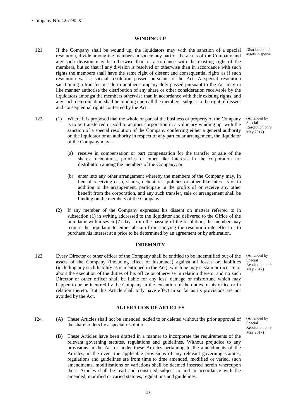#### **WINDING UP**

- 121. If the Company shall be wound up, the liquidators may with the sanction of a special resolution, divide among the members in specie any part of the assets of the Company and any such division may be otherwise than in accordance with the existing right of the members, but so that if any division is resolved or otherwise than in accordance with such rights the members shall have the same right of dissent and consequential rights as if such resolution was a special resolution passed pursuant to the Act. A special resolution sanctioning a transfer or sale to another company duly passed pursuant to the Act may in like manner authorise the distribution of any share or other consideration receivable by the liquidators amongst the members otherwise than in accordance with their existing rights, and any such determination shall be binding upon all the members, subject to the right of dissent and consequential rights conferred by the Act.
- 122. (1) Where it is proposed that the whole or part of the business or property of the Company is to be transferred or sold to another corporation in a voluntary winding up, with the sanction of a special resolution of the Company conferring either a general authority on the liquidator or an authority in respect of any particular arrangement, the liquidator of the Company may—
	- (a) receive in compensation or part compensation for the transfer or sale of the shares, debentures, policies or other like interests in the corporation for distribution among the members of the Company; or
	- (b) enter into any other arrangement whereby the members of the Company may, in lieu of receiving cash, shares, debentures, policies or other like interests or in addition to the arrangement, participate in the profits of or receive any other benefit from the corporation, and any such transfer, sale or arrangement shall be binding on the members of the Company.
	- (2) If any member of the Company expresses his dissent on matters referred to in subsection (1) in writing addressed to the liquidator and delivered to the Office of the liquidator within seven (7) days from the passing of the resolution, the member may require the liquidator to either abstain from carrying the resolution into effect or to purchase his interest at a price to be determined by an agreement or by arbitration.

#### **INDEMNITY**

123. Every Director or other officer of the Company shall be entitled to be indemnified out of the assets of the Company (including effect of insurance) against all losses or liabilities (including any such liability as is mentioned in the Act), which he may sustain or incur in or about the execution of the duties of his office or otherwise in relation thereto, and no such Director or other officer shall be liable for any loss, damage or misfortune which may happen to or be incurred by the Company in the execution of the duties of his office or in relation thereto. But this Article shall only have effect in so far as its provisions are not avoided by the Act.

#### **ALTERATION OF ARTICLES**

- 124. (A) These Articles shall not be amended, added to or deleted without the prior approval of the shareholders by a special resolution.
	- (B) These Articles have been drafted in a manner to incorporate the requirements of the relevant governing statutes, regulations and guidelines. Without prejudice to any provisions in the Act or under these Articles pertaining to the amendments of the Articles, in the event the applicable provisions of any relevant governing statutes, regulations and guidelines are from time to time amended, modified or varied, such amendments, modifications or variations shall be deemed inserted herein whereupon these Articles shall be read and construed subject to and in accordance with the amended, modified or varied statutes, regulations and guidelines.

Distribution of assets in specie

(Amended by Special Resolution on 9 May 2017)

(Amended by Special Resolution on 9 May 2017)

(Amended by Special Resolution on 9 May 2017)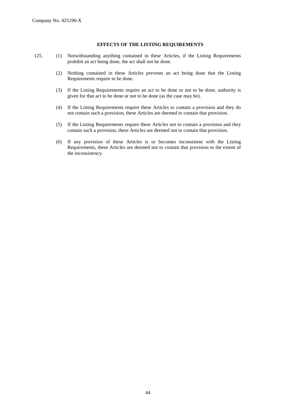#### **EFFECTS OF THE LISTING REQUIREMENTS**

- 125. (1) Notwithstanding anything contained in these Articles, if the Listing Requirements prohibit an act being done, the act shall not be done.
	- (2) Nothing contained in these Articles prevents an act being done that the Listing Requirements require to be done.
	- (3) If the Listing Requirements require an act to be done or not to be done, authority is given for that act to be done or not to be done (as the case may be).
	- (4) If the Listing Requirements require these Articles to contain a provision and they do not contain such a provision, these Articles are deemed to contain that provision.
	- (5) If the Listing Requirements require these Articles not to contain a provision and they contain such a provision, these Articles are deemed not to contain that provision.
	- (6) If any provision of these Articles is or becomes inconsistent with the Listing Requirements, these Articles are deemed not to contain that provision to the extent of the inconsistency.